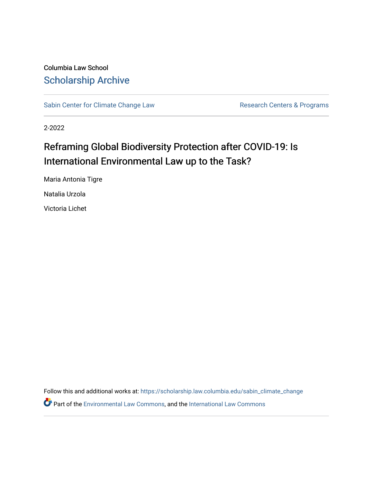Columbia Law School [Scholarship Archive](https://scholarship.law.columbia.edu/) 

[Sabin Center for Climate Change Law](https://scholarship.law.columbia.edu/sabin_climate_change) Research Centers & Programs

2-2022

# Reframing Global Biodiversity Protection after COVID-19: Is International Environmental Law up to the Task?

Maria Antonia Tigre

Natalia Urzola

Victoria Lichet

Follow this and additional works at: [https://scholarship.law.columbia.edu/sabin\\_climate\\_change](https://scholarship.law.columbia.edu/sabin_climate_change?utm_source=scholarship.law.columbia.edu%2Fsabin_climate_change%2F189&utm_medium=PDF&utm_campaign=PDFCoverPages) 

Part of the [Environmental Law Commons](http://network.bepress.com/hgg/discipline/599?utm_source=scholarship.law.columbia.edu%2Fsabin_climate_change%2F189&utm_medium=PDF&utm_campaign=PDFCoverPages), and the [International Law Commons](http://network.bepress.com/hgg/discipline/609?utm_source=scholarship.law.columbia.edu%2Fsabin_climate_change%2F189&utm_medium=PDF&utm_campaign=PDFCoverPages)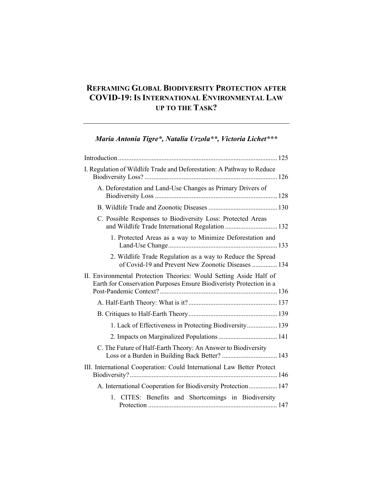### **REFRAMING GLOBAL BIODIVERSITY PROTECTION AFTER COVID-19: IS INTERNATIONAL ENVIRONMENTAL LAW UP TO THE TASK?**

## *Maria Antonia Tigre\*, Natalia Urzola\*\*, Victoria Lichet\*\*\**

| I. Regulation of Wildlife Trade and Deforestation: A Pathway to Reduce                                                                    |  |
|-------------------------------------------------------------------------------------------------------------------------------------------|--|
| A. Deforestation and Land-Use Changes as Primary Drivers of                                                                               |  |
|                                                                                                                                           |  |
| C. Possible Responses to Biodiversity Loss: Protected Areas<br>and Wildlife Trade International Regulation  132                           |  |
| 1. Protected Areas as a way to Minimize Deforestation and                                                                                 |  |
| 2. Wildlife Trade Regulation as a way to Reduce the Spread<br>of Covid-19 and Prevent New Zoonotic Diseases  134                          |  |
| II. Environmental Protection Theories: Would Setting Aside Half of<br>Earth for Conservation Purposes Ensure Biodiveristy Protection in a |  |
|                                                                                                                                           |  |
|                                                                                                                                           |  |
| 1. Lack of Effectiveness in Protecting Biodiversity 139                                                                                   |  |
|                                                                                                                                           |  |
| C. The Future of Half-Earth Theory: An Answer to Biodiversity                                                                             |  |
| III. International Cooperation: Could International Law Better Protect                                                                    |  |
| A. International Cooperation for Biodiversity Protection 147                                                                              |  |
| 1. CITES: Benefits and Shortcomings in Biodiversity                                                                                       |  |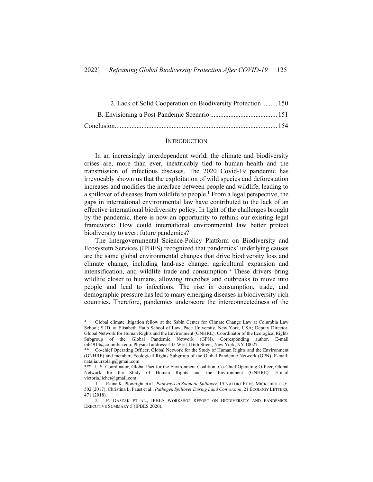| 2. Lack of Solid Cooperation on Biodiversity Protection  150 |  |
|--------------------------------------------------------------|--|
|                                                              |  |
|                                                              |  |

#### **INTRODUCTION**

In an increasingly interdependent world, the climate and biodiversity crises are, more than ever, inextricably tied to human health and the transmission of infectious diseases. The 2020 Covid-19 pandemic has irrevocably shown us that the exploitation of wild species and deforestation increases and modifies the interface between people and wildlife, leading to a spillover of diseases from wildlife to people.<sup>1</sup> From a legal perspective, the gaps in international environmental law have contributed to the lack of an effective international biodiversity policy. In light of the challenges brought by the pandemic, there is now an opportunity to rethink our existing legal framework: How could international environmental law better protect biodiversity to avert future pandemics?

The Intergovernmental Science-Policy Platform on Biodiversity and Ecosystem Services (IPBES) recognized that pandemics' underlying causes are the same global environmental changes that drive biodiversity loss and climate change, including land-use change, agricultural expansion and intensification, and wildlife trade and consumption. <sup>2</sup> These drivers bring wildlife closer to humans, allowing microbes and outbreaks to move into people and lead to infections. The rise in consumption, trade, and demographic pressure has led to many emerging diseases in biodiversity-rich countries. Therefore, pandemics underscore the interconnectedness of the

Global climate litigation fellow at the Sabin Center for Climate Change Law at Columbia Law School; S.JD. at Elisabeth Haub School of Law, Pace University, New York, USA; Deputy Director, Global Network for Human Rights and the Environment (GNHRE); Coordinator of the Ecological Rights Subgroup of the Global Pandemic Network (GPN). Corresponding author. E-mail mb4913@columbia.edu. Physical address: 435 West 116th Street, New York, NY 10027.

<sup>\*\*</sup> Co-chief Operating Officer, Global Network for the Study of Human Rights and the Environment (GNHRE) and member, Ecological Rights Subgroup of the Global Pandemic Network (GPN). E-mail: natalia.urzola.g@gmail.com.

<sup>\*\*\*</sup> U.S. Coordinator, Global Pact for the Environment Coalition; Co-Chief Operating Officer, Global Network for the Study of Human Rights and the Environment (GNHRE). E-mail victoria.lichet@gmail.com.

<sup>1.</sup> Raina K. Plowright et al., *Pathways to Zoonotic Spillover*, 15 NATURE REVS. MICROBIOLOGY, 502 (2017); Christina L. Faust et al., *Pathogen Spillover During Land Conversion*, 21 ECOLOGY LETTERS, 471 (2018).

<sup>2.</sup> P. DASZAK ET AL., IPBES WORKSHOP REPORT ON BIODIVERSITY AND PANDEMICS: EXECUTIVE SUMMARY 5 (IPBES 2020).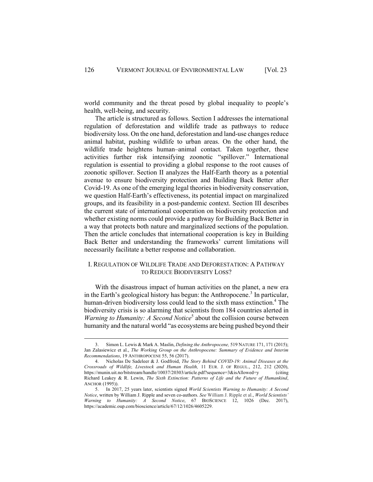world community and the threat posed by global inequality to people's health, well-being, and security.

The article is structured as follows. Section I addresses the international regulation of deforestation and wildlife trade as pathways to reduce biodiversity loss. On the one hand, deforestation and land-use changes reduce animal habitat, pushing wildlife to urban areas. On the other hand, the wildlife trade heightens human–animal contact. Taken together, these activities further risk intensifying zoonotic "spillover." International regulation is essential to providing a global response to the root causes of zoonotic spillover. Section II analyzes the Half-Earth theory as a potential avenue to ensure biodiversity protection and Building Back Better after Covid-19. As one of the emerging legal theories in biodiversity conservation, we question Half-Earth's effectiveness, its potential impact on marginalized groups, and its feasibility in a post-pandemic context. Section III describes the current state of international cooperation on biodiversity protection and whether existing norms could provide a pathway for Building Back Better in a way that protects both nature and marginalized sections of the population. Then the article concludes that international cooperation is key in Building Back Better and understanding the frameworks' current limitations will necessarily facilitate a better response and collaboration.

#### I. REGULATION OF WILDLIFE TRADE AND DEFORESTATION: A PATHWAY TO REDUCE BIODIVERSITY LOSS?

With the disastrous impact of human activities on the planet, a new era in the Earth's geological history has begun: the Anthropocene.<sup>3</sup> In particular, human-driven biodiversity loss could lead to the sixth mass extinction.<sup>4</sup> The biodiversity crisis is so alarming that scientists from 184 countries alerted in *Warning to Humanity: A Second Notice*<sup>5</sup> about the collision course between humanity and the natural world "as ecosystems are being pushed beyond their

<sup>3.</sup> Simon L. Lewis & Mark A. Maslin, *Defining the Anthropocene,* 519 NATURE 171, 171 (2015); Jan Zalasiewicz et al., *The Working Group on the Anthropocene: Summary of Evidence and Interim Recommendations*, 19 ANTHROPOCENE 55, 56 (2017).

<sup>4.</sup> Nicholas De Sadeleer & J. Godfroid, *The Story Behind COVID-19: Animal Diseases at the Crossroads of Wildlife, Livestock and Human Health,* 11 EUR. J. OF REGUL., 212, 212 (2020), https://munin.uit.no/bitstream/handle/10037/20303/article.pdf?sequence=3&isAllowed=y (citing Richard Leakey & R. Lewin, *The Sixth Extinction: Patterns of Life and the Future of Humankind*, ANCHOR (1995)).

<sup>5.</sup> In 2017, 25 years later, scientists signed *World Scientists Warning to Humanity: A Second Notice*, written by William J. Ripple and seven co-authors. *See* William J. Ripple et al., *World Scientists' Warning to Humanity: A Second Notice*, 67 BIOSCIENCE 12, 1026 (Dec. 2017), https://academic.oup.com/bioscience/article/67/12/1026/4605229.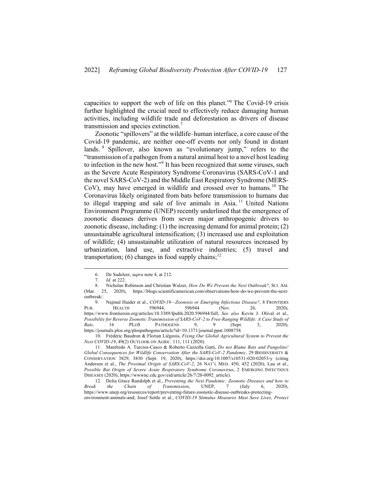capacities to support the web of life on this planet."6 The Covid-19 crisis further highlighted the crucial need to effectively reduce damaging human activities, including wildlife trade and deforestation as drivers of disease transmission and species extinction.<sup>7</sup>

Zoonotic "spillovers" at the wildlife–human interface, a core cause of the Covid-19 pandemic, are neither one-off events nor only found in distant lands. <sup>8</sup> Spillover, also known as "evolutionary jump," refers to the "transmission of a pathogen from a natural animal host to a novel host leading to infection in the new host."<sup>9</sup> It has been recognized that some viruses, such as the Severe Acute Respiratory Syndrome Coronavirus (SARS-CoV-1 and the novel SARS-CoV-2) and the Middle East Respiratory Syndrome (MERS-CoV), may have emerged in wildlife and crossed over to humans.<sup>10</sup> The Coronavirus likely originated from bats before transmission to humans due to illegal trapping and sale of live animals in Asia.<sup>11</sup> United Nations Environment Programme (UNEP) recently underlined that the emergence of zoonotic diseases derives from seven major anthropogenic drivers to zoonotic disease, including: (1) the increasing demand for animal protein; (2) unsustainable agricultural intensification; (3) increased use and exploitation of wildlife; (4) unsustainable utilization of natural resources increased by urbanization, land use, and extractive industries; (5) travel and transportation; (6) changes in food supply chains;<sup>12</sup>

10. Frédéric Baudron & Florian Liégeois, *Fixing Our Global Agricultural System to Prevent the Next COVID-19*, 49(2) OUTLOOK ON AGRIC. 111, 111 (2020).

<sup>6.</sup> De Sadeleer, s*upra* note 4, at 212.

<sup>7.</sup> *Id.* at 222.

<sup>8.</sup> Nicholas Robinson and Christian Walzer, *How Do We Prevent the Next Outbreak?*, SCI. AM. (Mar. 25, 2020), https://blogs.scientificamerican.com/observations/how-do-we-prevent-the-nextoutbreak/.

<sup>9.</sup> Najmul Haider et al., *COVID-19—Zoonosis or Emerging Infectious Disease?*, 8 FRONTIERS PUB. HEALTH 596944, 596944 (Nov. 26, 2020), https://www.frontiersin.org/articles/10.3389/fpubh.2020.596944/full; *See also* Kevin J. Olival et al., *Possibility for Reverse Zoonotic Transmission of SARS-CoV-2 to Free-Ranging Wildlife: A Case Study of Bats,* 16 PLOS PATHOGENS 9, 9 (Sept. 3, 2020), https://journals.plos.org/plospathogens/article?id=10.1371/journal.ppat.1008758.

<sup>11.</sup> Manfredo A. Turcios-Casco & Roberto Cazzolla Gatti, *Do not Blame Bats and Pangolins! Global Consequences for Wildlife Conservation After the SARS-CoV-2 Pandemic*, 29 BIODIVERSITY & CONSERVATION 3829, 3830 (Sept. 19, 2020), https://doi.org/10.1007/s10531-020-02053-y (citing Andersen et al., *The Proximal Origin of SARS-CoV-2*, 26 NAT'L MED. 450, 452 (2020); Lau et al., *Possible Bat Origin of Severe Acute Respiratory Syndrome Coronavirus*, 2 EMERGING INFECTIOUS DISEASES (2020), https://wwwnc.cdc.gov/eid/article/26/7/20-0092\_article).

<sup>12.</sup> Delia Grace Randolph et al., *Preventing the Next Pandemic: Zoonotic Diseases and how to Break the Chain of Transmission*, UNEP, 7 (July 6, 2020), https://www.unep.org/resources/report/preventing-future-zoonotic-disease-outbreaks-protectingenvironment-animals-and; Josef Settle et al., *COVID-19 Stimulus Measures Must Save Lives, Protect*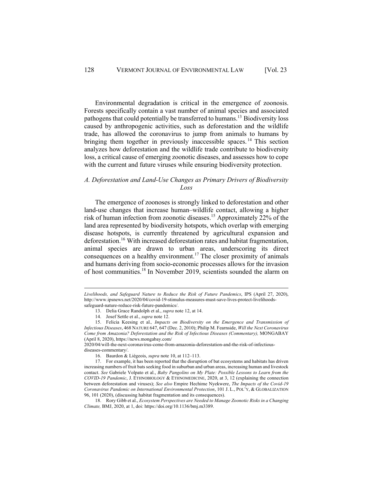Environmental degradation is critical in the emergence of zoonosis. Forests specifically contain a vast number of animal species and associated pathogens that could potentially be transferred to humans.13 Biodiversity loss caused by anthropogenic activities, such as deforestation and the wildlife trade, has allowed the coronavirus to jump from animals to humans by bringing them together in previously inaccessible spaces.<sup>14</sup> This section analyzes how deforestation and the wildlife trade contribute to biodiversity loss, a critical cause of emerging zoonotic diseases, and assesses how to cope with the current and future viruses while ensuring biodiversity protection.

#### *A. Deforestation and Land-Use Changes as Primary Drivers of Biodiversity Loss*

The emergence of zoonoses is strongly linked to deforestation and other land-use changes that increase human–wildlife contact, allowing a higher risk of human infection from zoonotic diseases.<sup>15</sup> Approximately 22% of the land area represented by biodiversity hotspots, which overlap with emerging disease hotspots, is currently threatened by agricultural expansion and deforestation.<sup>16</sup> With increased deforestation rates and habitat fragmentation, animal species are drawn to urban areas, underscoring its direct consequences on a healthy environment.<sup>17</sup> The closer proximity of animals and humans deriving from socio-economic processes allows for the invasion of host communities.18 In November 2019, scientists sounded the alarm on

*Livelihoods, and Safeguard Nature to Reduce the Risk of Future Pandemics*, IPS (April 27, 2020), http://www.ipsnews.net/2020/04/covid-19-stimulus-measures-must-save-lives-protect-livelihoodssafeguard-nature-reduce-risk-future-pandemics/.

<sup>13.</sup> Delia Grace Randolph et al., *supra* note 12, at 14.

<sup>14.</sup> Josef Settle et al., *supra* note 12.

<sup>15.</sup> Felicia Keesing et al.*, Impacts on Biodiversity on the Emergence and Transmission of Infectious Diseases*, 468 NATURE 647, 647 (Dec. 2, 2010); Philip M. Fearnside, *Will the Next Coronavirus Come from Amazonia? Deforestation and the Risk of Infectious Diseases (Commentary),* MONGABAY (April 8, 2020), https://news.mongabay.com/

<sup>2020/04/</sup>will-the-next-coronavirus-come-from-amazonia-deforestation-and-the-risk-of-infectiousdiseases-commentary/.

<sup>16.</sup> Baurdon & Liégeois, *supra* note 10, at 112–113.

<sup>17.</sup> For example, it has been reported that the disruption of bat ecosystems and habitats has driven increasing numbers of fruit bats seeking food in suburban and urban areas, increasing human and livestock contact. *See* Gabriele Volpato et al., *Baby Pangolins on My Plate: Possible Lessons to Learn from the COVID-19 Pandemic*, J. ETHNOBIOLOGY & ETHNOMEDICINE, 2020, at 3, 12 (explaining the connection between deforestation and viruses); *See also* Empire Hechime Nyekwere, *The Impacts of the Covid-19 Coronavirus Pandemic on International Environmental Protection*, 101 J. L., POL'Y, & GLOBALIZATION 96, 101 (2020), (discussing habitat fragmentation and its consequences).

<sup>18.</sup> Rory Gibb et al., *Ecosystem Perspectives are Needed to Manage Zoonotic Risks in a Changing Climate,* BMJ, 2020, at 1, doi: https://doi.org/10.1136/bmj.m3389.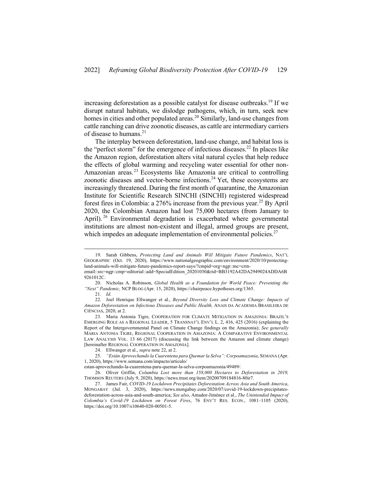increasing deforestation as a possible catalyst for disease outbreaks.<sup>19</sup> If we disrupt natural habitats, we dislodge pathogens, which, in turn, seek new homes in cities and other populated areas.<sup>20</sup> Similarly, land-use changes from cattle ranching can drive zoonotic diseases, as cattle are intermediary carriers of disease to humans.<sup>21</sup>

The interplay between deforestation, land-use change, and habitat loss is the "perfect storm" for the emergence of infectious diseases.<sup>22</sup> In places like the Amazon region, deforestation alters vital natural cycles that help reduce the effects of global warming and recycling water essential for other non-Amazonian areas. <sup>23</sup> Ecosystems like Amazonia are critical to controlling zoonotic diseases and vector-borne infections.<sup>24</sup> Yet, these ecosystems are increasingly threatened. During the first month of quarantine, the Amazonian Institute for Scientific Research SINCHI (SINCHI) registered widespread forest fires in Colombia: a  $276\%$  increase from the previous year.<sup>25</sup> By April 2020, the Colombian Amazon had lost 75,000 hectares (from January to April).<sup>26</sup> Environmental degradation is exacerbated where governmental institutions are almost non-existent and illegal, armed groups are present, which impedes an adequate implementation of environmental policies. $27$ 

<sup>19.</sup> Sarah Gibbens, *Protecting Land and Animals Will Mitigate Future Pandemics*, NAT'L GEOGRAPHIC (Oct. 19, 2020), https://www.nationalgeographic.com/environment/2020/10/protectingland-animals-will-mitigate-future-pandemics-report-says/?cmpid=org=ngp::mc=crm-

email::src=ngp::cmp=editorial::add=SpecialEdition\_20201030&rid=BB3192A42DA2949024ADDA6B 9261012C.

<sup>20.</sup> Nicholas A. Robinson, *Global Health as a Foundation for World Peace: Preventing the "Next" Pandemic,* NCP BLOG (Apr. 15, 2020), https://chairpeace.hypotheses.org/1365.

<sup>21.</sup> *Id*.

<sup>22.</sup> Joel Henrique Ellwanger et al., *Beyond Diversity Loss and Climate Change: Impacts of Amazon Deforestation on Infectious Diseases and Public Health,* ANAIS DA ACADEMIA BRASILEIRA DE CIÊNCIAS, 2020, at 2.

<sup>23.</sup> Maria Antonia Tigre, COOPERATION FOR CLIMATE MITIGATION IN AMAZONIA: BRAZIL'S EMERGING ROLE AS A REGIONAL LEADER, 5 TRANSNAT'L ENV'L L. 2, 416, 425 (2016) (explaining the Report of the Intergovernmental Panel on Climate Change findings on the Amazonia); *See generally*  MARIA ANTONIA TIGRE, REGIONAL COOPERATION IN AMAZONIA: A COMPARATIVE ENVIRONMENTAL LAW ANALYSIS VOL. 13 66 (2017) (discussing the link between the Amazon and climate change) [hereinafter REGIONAL COOPERATION IN AMAZONIA].

<sup>24.</sup> Ellwanger et al., *supra* note 22, at 2.

<sup>25.</sup> *"Están Aprovechando la Cuarentena para Quemar la Selva": Corpoamazonia*, SEMANA (Apr. 1, 2020), https://www.semana.com/impacto/articulo/

estan-aprovechando-la-cuarentena-para-quemar-la-selva-corpoamazonia/49489/.

<sup>26.</sup> Oliver Griffin, *Columbia Lost more than 158,000 Hectares to Deforestation in 2019,*  THOMSON REUTERS (July 9, 2020), https://news.trust.org/item/20200709184816-80ir7.

<sup>27.</sup> James Fair, *COVID-19 Lockdown Precipitates Deforestation Across Asia and South America*, MONGABAY (Jul. 3, 2020), https://news.mongabay.com/2020/07/covid-19-lockdown-precipitatesdeforestation-across-asia-and-south-america; *See also*, Amador-Jiménez et al., *The Unintended Impact of Colombia's Covid-19 Lockdown on Forest Fires*, 76 ENV'T RES. ECON., 1081–1105 (2020), https://doi.org/10.1007/s10640-020-00501-5.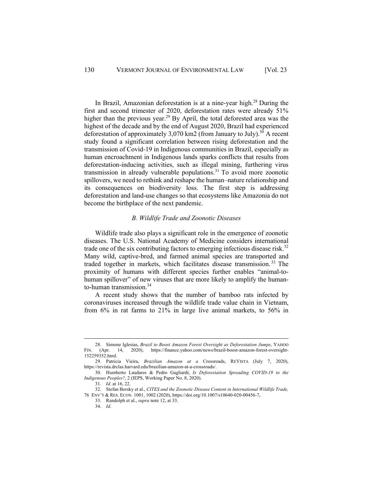In Brazil, Amazonian deforestation is at a nine-year high.<sup>28</sup> During the first and second trimester of 2020, deforestation rates were already 51% higher than the previous year.<sup>29</sup> By April, the total deforested area was the highest of the decade and by the end of August 2020, Brazil had experienced deforestation of approximately  $3,070$  km2 (from January to July).<sup>30</sup> A recent study found a significant correlation between rising deforestation and the transmission of Covid-19 in Indigenous communities in Brazil, especially as human encroachment in Indigenous lands sparks conflicts that results from deforestation-inducing activities, such as illegal mining, furthering virus transmission in already vulnerable populations.<sup>31</sup> To avoid more zoonotic spillovers, we need to rethink and reshape the human–nature relationship and its consequences on biodiversity loss. The first step is addressing deforestation and land-use changes so that ecosystems like Amazonia do not become the birthplace of the next pandemic.

#### *B. Wildlife Trade and Zoonotic Diseases*

Wildlife trade also plays a significant role in the emergence of zoonotic diseases. The U.S. National Academy of Medicine considers international trade one of the six contributing factors to emerging infectious disease risk.<sup>32</sup> Many wild, captive-bred, and farmed animal species are transported and traded together in markets, which facilitates disease transmission.<sup>33</sup> The proximity of humans with different species further enables "animal-tohuman spillover" of new viruses that are more likely to amplify the humanto-human transmission.<sup>34</sup>

A recent study shows that the number of bamboo rats infected by coronaviruses increased through the wildlife trade value chain in Vietnam, from 6% in rat farms to 21% in large live animal markets, to 56% in

<sup>28.</sup> Simone Iglesias, *Brazil to Boost Amazon Forest Oversight as Deforestation Jumps*, YAHOO FIN. (Apr. 14, 2020), https://finance.yahoo.com/news/brazil-boost-amazon-forest-oversight-152259352.html.

<sup>29.</sup> Patricia Vieira, *Brazilian Amazon at a* Crossroads, REVISTA (July 7, 2020), https://revista.drclas.harvard.edu/brazilian-amazon-at-a-crossroads/.

<sup>30.</sup> Humberto Laudares & Pedro Gagliardi, *Is Deforestation Spreading COVID-19 to the Indigenous Peoples?*, 2 (IEPS, Working Paper No. 8, 2020).

<sup>31.</sup> *Id*. at 16, 22.

<sup>32.</sup> Stefan Borsky et al., *CITES and the Zoonotic Disease Content in International Wildlife Trade,*  76 ENV'T & RES. ECON. 1001, 1002 (2020), https://doi.org/10.1007/s10640-020-00456-7**.**

<sup>33.</sup> Randolph et al., *supra* note 12, at 33.

<sup>34.</sup> *Id*.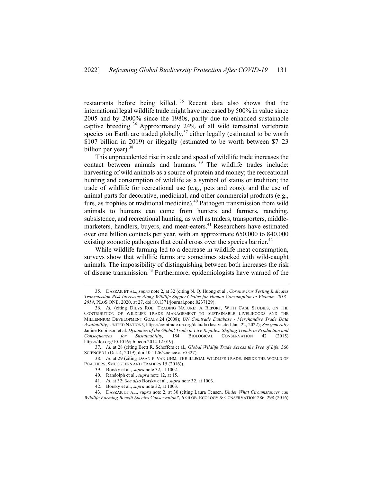restaurants before being killed. <sup>35</sup> Recent data also shows that the international legal wildlife trade might have increased by 500% in value since 2005 and by 2000% since the 1980s, partly due to enhanced sustainable captive breeding. <sup>36</sup> Approximately 24% of all wild terrestrial vertebrate species on Earth are traded globally, $37$  either legally (estimated to be worth \$107 billion in 2019) or illegally (estimated to be worth between \$7–23 billion per year). $38$ 

This unprecedented rise in scale and speed of wildlife trade increases the contact between animals and humans.<sup>39</sup> The wildlife trades include: harvesting of wild animals as a source of protein and money; the recreational hunting and consumption of wildlife as a symbol of status or tradition; the trade of wildlife for recreational use (e.g., pets and zoos); and the use of animal parts for decorative, medicinal, and other commercial products (e.g., furs, as trophies or traditional medicine).<sup>40</sup> Pathogen transmission from wild animals to humans can come from hunters and farmers, ranching, subsistence, and recreational hunting, as well as traders, transporters, middlemarketers, handlers, buvers, and meat-eaters.<sup>41</sup> Researchers have estimated over one billion contacts per year, with an approximate 650,000 to 840,000 existing zoonotic pathogens that could cross over the species barrier.<sup>42</sup>

While wildlife farming led to a decrease in wildlife meat consumption, surveys show that wildlife farms are sometimes stocked with wild-caught animals. The impossibility of distinguishing between both increases the risk of disease transmission.43 Furthermore, epidemiologists have warned of the

<sup>35.</sup> DASZAK ET AL., *supra* note 2, at 32 (citing N. Q. Huong et al., *Coronavirus Testing Indicates Transmission Risk Increases Along Wildlife Supply Chains for Human Consumption in Vietnam 2013– 2014*, PLOS ONE, 2020, at 27, doi:10.1371/journal.pone.0237129).

<sup>36.</sup> *Id.* (citing DILYS ROE, TRADING NATURE: A REPORT, WITH CASE STUDIES, ON THE CONTRIBUTION OF WILDLIFE TRADE MANAGEMENT TO SUSTAINABLE LIVELIHOODS AND THE MILLENNIUM DEVELOPMENT GOALS 24 (2008); *UN Comtrade Database - Merchandise Trade Data Availability*, UNITED NATIONS, https://comtrade.un.org/data/da (last visited Jan. 22, 2022); *See generally* Janine Robinson et al. *Dynamics of the Global Trade in Live Reptiles: Shifting Trends in Production and Consequences for Sustainability,* 184 BIOLOGICAL CONSERVATION 42 (2015) https://doi.org/10.1016/j.biocon.2014.12.019).

<sup>37</sup>*. Id.* at 28 (citing Brett R. Scheffers et al., *Global Wildlife Trade Across the Tree of Life,* 366 SCIENCE 71 (Oct. 4, 2019), doi:10.1126/science.aav5327).

<sup>38.</sup> *Id*. at 29 (citing DAAN P. VAN UHM, THE ILLEGAL WILDLIFE TRADE: INSIDE THE WORLD OF POACHERS, SMUGGLERS AND TRADERS 15 (2016)).

<sup>39.</sup> Borsky et al., *supra* note 32, at 1002.

<sup>40.</sup> Randolph et al., *supra* note 12, at 15.

<sup>41.</sup> *Id*. at 32; *See also* Borsky et al., *supra* note 32, at 1003.

<sup>42.</sup> Borsky et al., *supra* note 32, at 1003.

<sup>43.</sup> DASZAK ET AL., *supra* note 2, at 30 (citing Laura Tensen, *Under What Circumstances can Wildlife Farming Benefit Species Conservation?*, 6 GLOB. ECOLOGY & CONSERVATION 286–298 (2016)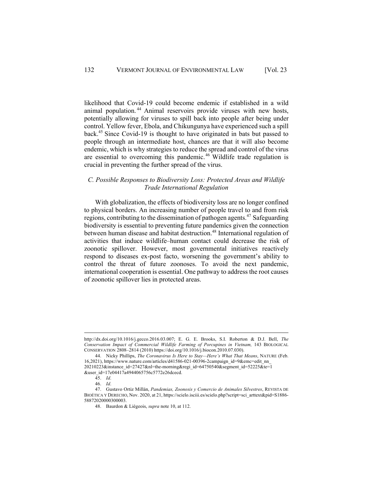likelihood that Covid-19 could become endemic if established in a wild animal population. <sup>44</sup> Animal reservoirs provide viruses with new hosts, potentially allowing for viruses to spill back into people after being under control. Yellow fever, Ebola, and Chikungunya have experienced such a spill back.45 Since Covid-19 is thought to have originated in bats but passed to people through an intermediate host, chances are that it will also become endemic, which is why strategies to reduce the spread and control of the virus are essential to overcoming this pandemic.<sup>46</sup> Wildlife trade regulation is crucial in preventing the further spread of the virus.

#### *C. Possible Responses to Biodiversity Loss: Protected Areas and Wildlife Trade International Regulation*

With globalization, the effects of biodiversity loss are no longer confined to physical borders. An increasing number of people travel to and from risk regions, contributing to the dissemination of pathogen agents.<sup>47</sup> Safeguarding biodiversity is essential to preventing future pandemics given the connection between human disease and habitat destruction.<sup>48</sup> International regulation of activities that induce wildlife–human contact could decrease the risk of zoonotic spillover. However, most governmental initiatives reactively respond to diseases ex-post facto, worsening the government's ability to control the threat of future zoonoses. To avoid the next pandemic, international cooperation is essential. One pathway to address the root causes of zoonotic spillover lies in protected areas.

http://dx.doi.org/10.1016/j.gecco.2016.03.007; E. G. E. Brooks, S.I. Roberton & D.J. Bell, *The Conservation Impact of Commercial Wildlife Farming of Porcupines in Vietnam,* 143 BIOLOGICAL CONSERVATION 2808–2814 (2010) https://doi.org/10.1016/j.biocon.2010.07.030).

<sup>44.</sup> Nicky Phillips, *The Coronavirus Is Here to Stay—Here's What That Means*, NATURE (Feb. 16,2021), https://www.nature.com/articles/d41586-021-00396-2campaign\_id=9&emc=edit\_nn\_ 20210223&instance\_id=27427&nl=the-morning&regi\_id=64750540&segment\_id=52225&te=1 &user\_id=17e04417a4944065756c5772e26dcecd.

<sup>45.</sup> *Id*.

<sup>46.</sup> *Id*.

<sup>47.</sup> Gustavo Ortiz Millán, *Pandemias, Zoonosis y Comercio de Animales Silvestres*, REVISTA DE BIOÉTICA Y DERECHO, Nov. 2020, at 21, https://scielo.isciii.es/scielo.php?script=sci\_arttext&pid=S1886- 58872020000300003.

<sup>48.</sup> Baurdon & Liégeois, *supra* note 10, at 112.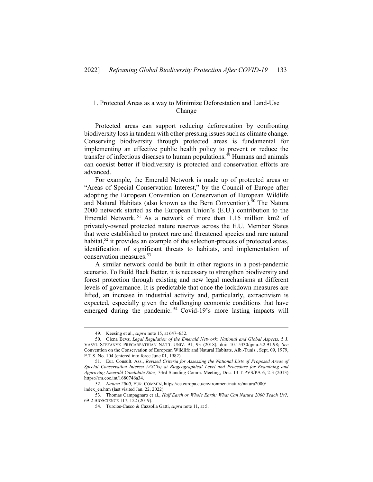#### 1. Protected Areas as a way to Minimize Deforestation and Land-Use Change

Protected areas can support reducing deforestation by confronting biodiversity loss in tandem with other pressing issues such as climate change. Conserving biodiversity through protected areas is fundamental for implementing an effective public health policy to prevent or reduce the transfer of infectious diseases to human populations.<sup>49</sup> Humans and animals can coexist better if biodiversity is protected and conservation efforts are advanced.

For example, the Emerald Network is made up of protected areas or "Areas of Special Conservation Interest," by the Council of Europe after adopting the European Convention on Conservation of European Wildlife and Natural Habitats (also known as the Bern Convention).<sup>50</sup> The Natura 2000 network started as the European Union's (E.U.) contribution to the Emerald Network. <sup>51</sup> As a network of more than 1.15 million km2 of privately-owned protected nature reserves across the E.U. Member States that were established to protect rare and threatened species and rare natural habitat,<sup>52</sup> it provides an example of the selection-process of protected areas, identification of significant threats to habitats, and implementation of conservation measures.<sup>53</sup>

A similar network could be built in other regions in a post-pandemic scenario. To Build Back Better, it is necessary to strengthen biodiversity and forest protection through existing and new legal mechanisms at different levels of governance. It is predictable that once the lockdown measures are lifted, an increase in industrial activity and, particularly, extractivism is expected, especially given the challenging economic conditions that have emerged during the pandemic.<sup>54</sup> Covid-19's more lasting impacts will

<sup>49.</sup> Keesing et al., *supra* note 15, at 647–652.

<sup>50.</sup> Olena Bevz, *Legal Regulation of the Emerald Network: National and Global Aspects,* 5 J. VASYL STEFANYK PRECARPATHIAN NAT'L UNIV. 91, 93 (2018), doi: 10.15330/jpnu.5.2.91-98; *See*  Convention on the Conservation of European Wildlife and Natural Habitats, Alb.-Tunis., Sept. 09, 1979, E.T.S. No. 104 (entered into force June 01, 1982).

<sup>51.</sup> Eur. Consult. Ass., *Revised Criteria for Assessing the National Lists of Proposed Areas of Special Conservation Interest (ASCIs) at Biogeographical Level and Procedure for Examining and Approving Emerald Candidate Sites,* 33rd Standing Comm. Meeting, Doc. 13 T-PVS/PA 6, 2-3 (2013) https://rm.coe.int/1680746a34.

<sup>52.</sup> *Natura 2000*, EUR. COMM'N, https://ec.europa.eu/environment/nature/natura2000/ index\_en.htm (last visited Jan. 22, 2022).

<sup>53.</sup> Thomas Campagnaro et al., *Half Earth or Whole Earth: What Can Natura 2000 Teach Us?,* 69-2 BIOSCIENCE 117, 122 (2019).

<sup>54.</sup> Turcios-Casco & Cazzolla Gatti, *supra* note 11, at 5.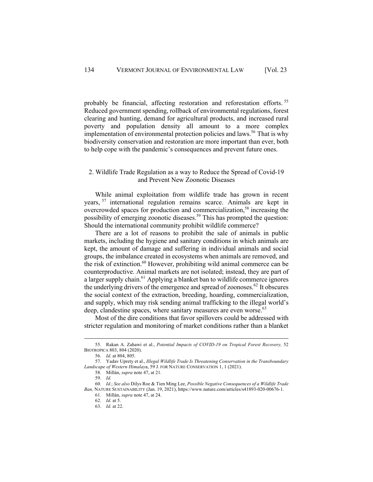probably be financial, affecting restoration and reforestation efforts.<sup>55</sup> Reduced government spending, rollback of environmental regulations, forest clearing and hunting, demand for agricultural products, and increased rural poverty and population density all amount to a more complex implementation of environmental protection policies and laws.<sup>56</sup> That is why biodiversity conservation and restoration are more important than ever, both to help cope with the pandemic's consequences and prevent future ones.

#### 2. Wildlife Trade Regulation as a way to Reduce the Spread of Covid-19 and Prevent New Zoonotic Diseases

While animal exploitation from wildlife trade has grown in recent years, <sup>57</sup> international regulation remains scarce. Animals are kept in overcrowded spaces for production and commercialization,<sup>58</sup> increasing the possibility of emerging zoonotic diseases.<sup>59</sup> This has prompted the question: Should the international community prohibit wildlife commerce?

There are a lot of reasons to prohibit the sale of animals in public markets, including the hygiene and sanitary conditions in which animals are kept, the amount of damage and suffering in individual animals and social groups, the imbalance created in ecosystems when animals are removed, and the risk of extinction.<sup>60</sup> However, prohibiting wild animal commerce can be counterproductive. Animal markets are not isolated; instead, they are part of a larger supply chain.<sup>61</sup> Applying a blanket ban to wildlife commerce ignores the underlying drivers of the emergence and spread of zoonoses.<sup>62</sup> It obscures the social context of the extraction, breeding, hoarding, commercialization, and supply, which may risk sending animal trafficking to the illegal world's deep, clandestine spaces, where sanitary measures are even worse.<sup>63</sup>

Most of the dire conditions that favor spillovers could be addressed with stricter regulation and monitoring of market conditions rather than a blanket

<sup>55.</sup> Rakan A. Zahawi et al., *Potential Impacts of COVID-19 on Tropical Forest Recovery,* 52 BIOTROPICA 803, 804 (2020).

<sup>56.</sup> *Id.* at 804, 805.

<sup>57.</sup> Yadav Uprety et al., *Illegal Wildlife Trade Is Threatening Conservation in the Transboundary Landscape of Western Himalay*a, 59 J. FOR NATURE CONSERVATION 1, 1 (2021).

<sup>58.</sup> Millán, *supra* note 47, at 21.

<sup>59.</sup> *Id.*

<sup>60</sup>*. Id*.; *See also* Dilys Roe & Tien Ming Lee, *Possible Negative Consequences of a Wildlife Trade Ban,* NATURE SUSTAINABILITY (Jan. 19, 2021), https://www.nature.com/articles/s41893-020-00676-1.

<sup>61.</sup> Millán, *supra* note 47, at 24.

<sup>62.</sup> *Id*. at 5.

<sup>63.</sup> *Id*. at 22.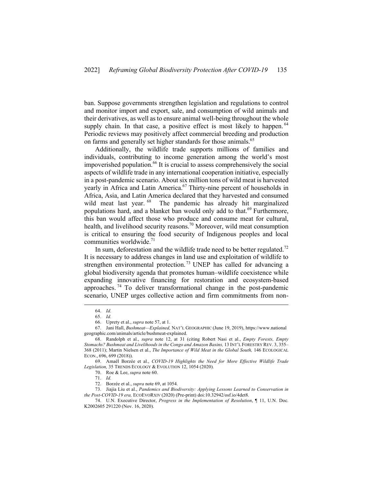ban. Suppose governments strengthen legislation and regulations to control and monitor import and export, sale, and consumption of wild animals and their derivatives, as well as to ensure animal well-being throughout the whole supply chain. In that case, a positive effect is most likely to happen.<sup>64</sup> Periodic reviews may positively affect commercial breeding and production on farms and generally set higher standards for those animals.<sup>65</sup>

Additionally, the wildlife trade supports millions of families and individuals, contributing to income generation among the world's most impoverished population.<sup>66</sup> It is crucial to assess comprehensively the social aspects of wildlife trade in any international cooperation initiative, especially in a post-pandemic scenario. About six million tons of wild meat is harvested yearly in Africa and Latin America.<sup>67</sup> Thirty-nine percent of households in Africa, Asia, and Latin America declared that they harvested and consumed wild meat last year. <sup>68</sup> The pandemic has already hit marginalized populations hard, and a blanket ban would only add to that.<sup>69</sup> Furthermore, this ban would affect those who produce and consume meat for cultural, health, and livelihood security reasons.<sup>70</sup> Moreover, wild meat consumption is critical to ensuring the food security of Indigenous peoples and local communities worldwide.<sup>71</sup>

In sum, deforestation and the wildlife trade need to be better regulated.<sup>72</sup> It is necessary to address changes in land use and exploitation of wildlife to strengthen environmental protection.<sup>73</sup> UNEP has called for advancing a global biodiversity agenda that promotes human–wildlife coexistence while expanding innovative financing for restoration and ecosystem-based approaches. <sup>74</sup> To deliver transformational change in the post-pandemic scenario, UNEP urges collective action and firm commitments from non-

<sup>64.</sup> *Id.*

<sup>65.</sup> *Id.*

<sup>66.</sup> Uprety et al., *supra* note 57, at 1.

<sup>67.</sup> Jani Hall, *Bushmeat—Explained,* NAT'L GEOGRAPHIC (June 19, 2019), https://www.national geographic.com/animals/article/bushmeat-explained.

<sup>68.</sup> Randolph et al., *supra* note 12, at 31 (citing Robert Nasi et al., *Empty Forests, Empty Stomachs? Bushmeat and Livelihoods in the Congo and Amazon Basins,* 13 INT'L FORESTRY REV. 3, 355– 368 (2011); Martin Nielsen et al., *The Importance of Wild Meat in the Global South,* 146 ECOLOGICAL ECON., 696, 699 (2018)).

<sup>69.</sup> Amaël Borzée et al., *COVID-19 Highlights the Need for More Effective Wildlife Trade Legislation,* 35 TRENDS ECOLOGY & EVOLUTION 12, 1054 (2020).

<sup>70.</sup> Roe & Lee, *supra* note 60.

<sup>71.</sup> *Id.*

<sup>72.</sup> Borzée et al., *supra* note 69, at 1054.

<sup>73.</sup> Jiajia Liu et al., *Pandemics and Biodiversity: Applying Lessons Learned to Conservation in the Post-COVID-19 era,* ECOEVORXIV (2020) (Pre-print) doi:10.32942/osf.io/4det8.

<sup>74.</sup> U.N. Executive Director, *Progress in the Implementation of Resolution*, ¶ 11, U.N. Doc. K2002605 291220 (Nov. 16, 2020).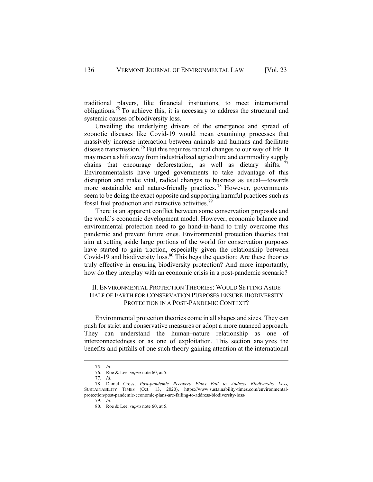traditional players, like financial institutions, to meet international obligations.<sup>75</sup> To achieve this, it is necessary to address the structural and systemic causes of biodiversity loss.

Unveiling the underlying drivers of the emergence and spread of zoonotic diseases like Covid-19 would mean examining processes that massively increase interaction between animals and humans and facilitate disease transmission.76 But this requires radical changes to our way of life. It may mean a shift away from industrialized agriculture and commodity supply chains that encourage deforestation, as well as dietary shifts.  $77$ Environmentalists have urged governments to take advantage of this disruption and make vital, radical changes to business as usual—towards more sustainable and nature-friendly practices. <sup>78</sup> However, governments seem to be doing the exact opposite and supporting harmful practices such as fossil fuel production and extractive activities.<sup>79</sup>

There is an apparent conflict between some conservation proposals and the world's economic development model. However, economic balance and environmental protection need to go hand-in-hand to truly overcome this pandemic and prevent future ones. Environmental protection theories that aim at setting aside large portions of the world for conservation purposes have started to gain traction, especially given the relationship between Covid-19 and biodiversity loss. $80$  This begs the question: Are these theories truly effective in ensuring biodiversity protection? And more importantly, how do they interplay with an economic crisis in a post-pandemic scenario?

#### II. ENVIRONMENTAL PROTECTION THEORIES: WOULD SETTING ASIDE HALF OF EARTH FOR CONSERVATION PURPOSES ENSURE BIODIVERSITY PROTECTION IN A POST-PANDEMIC CONTEXT?

Environmental protection theories come in all shapes and sizes. They can push for strict and conservative measures or adopt a more nuanced approach. They can understand the human–nature relationship as one of interconnectedness or as one of exploitation. This section analyzes the benefits and pitfalls of one such theory gaining attention at the international

<sup>75.</sup> *Id*.

<sup>76.</sup> Roe & Lee, *supra* note 60, at 5.

<sup>77.</sup> *Id*.

<sup>78.</sup> Daniel Cross, *Post-pandemic Recovery Plans Fail to Address Biodiversity Loss,*  SUSTAINABILITY TIMES (Oct. 13, 2020), https://www.sustainability-times.com/environmentalprotection/post-pandemic-economic-plans-are-failing-to-address-biodiversity-loss/.

<sup>79.</sup> *Id*.

<sup>80.</sup> Roe & Lee, *supra* note 60, at 5.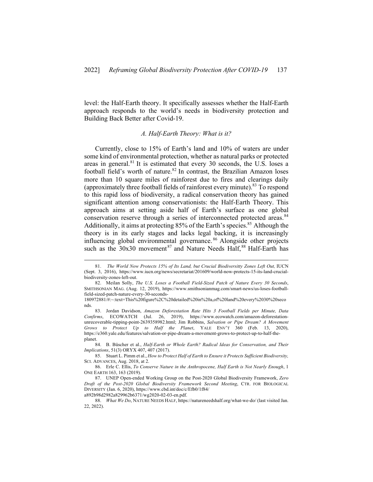level: the Half-Earth theory. It specifically assesses whether the Half-Earth approach responds to the world's needs in biodiversity protection and Building Back Better after Covid-19.

#### *A. Half-Earth Theory: What is it?*

Currently, close to 15% of Earth's land and 10% of waters are under some kind of environmental protection, whether as natural parks or protected areas in general. $81$  It is estimated that every 30 seconds, the U.S. loses a football field's worth of nature.<sup>82</sup> In contrast, the Brazilian Amazon loses more than 10 square miles of rainforest due to fires and clearings daily (approximately three football fields of rainforest every minute).<sup>83</sup> To respond to this rapid loss of biodiversity, a radical conservation theory has gained significant attention among conservationists: the Half-Earth Theory. This approach aims at setting aside half of Earth's surface as one global conservation reserve through a series of interconnected protected areas.<sup>84</sup> Additionally, it aims at protecting  $85\%$  of the Earth's species.<sup>85</sup> Although the theory is in its early stages and lacks legal backing, it is increasingly influencing global environmental governance. <sup>86</sup> Alongside other projects such as the  $30x30$  movement<sup>87</sup> and Nature Needs Half, <sup>88</sup> Half-Earth has

88. *What We Do*, NATURE NEEDS HALF, https://natureneedshalf.org/what-we-do/ (last visited Jan. 22, 2022).

<sup>81.</sup> *The World Now Protects 15% of Its Land, but Crucial Biodiversitty Zones Left Out,* IUCN (Sept. 3, 2016), https://www.iucn.org/news/secretariat/201609/world-now-protects-15-its-land-crucialbiodiversity-zones-left-out.

<sup>82.</sup> Meilan Solly, *The U.S. Loses a Football Field-Sized Patch of Nature Every 30 Seconds*, SMITHSONIAN MAG. (Aug. 12, 2019), https://www.smithsonianmag.com/smart-news/us-loses-footballfield-sized-patch-nature-every-30-seconds-

<sup>180972881/#:~:</sup>text=This%20figure%2C%20detailed%20in%20a,of%20land%20every%2030%20seco nds.

<sup>83.</sup> Jordan Davidson, *Amazon Deforestation Rate Hits 3 Football Fields per Minute, Data Confirms*, ECOWATCH (Jul. 26, 2019), https://www.ecowatch.com/amazon-deforestationunrecoverable-tipping-point-2639358982.html; Jim Robbins, *Salvation or Pipe Dream? A Movement Grows to Protect Up to Half the Planet*, YALE ENV'T 360 (Feb. 13, 2020), https://e360.yale.edu/features/salvation-or-pipe-dream-a-movement-grows-to-protect-up-to-half-theplanet.

<sup>84.</sup> B. Büscher et al., *Half-Earth or Whole Earth? Radical Ideas for Conservation, and Their Implications*, 51(3) ORYX 407, 407 (2017).

<sup>85.</sup> Stuart L. Pimm et al., *How to Protect Half of Earth to Ensure it Protects Sufficient Biodiversity,* SCI. ADVANCES, Aug. 2018, at 2.

<sup>86.</sup> Erle C. Ellis, *To Conserve Nature in the Anthropocene, Half Earth is Not Nearly Enough*, 1 ONE EARTH 163, 163 (2019).

<sup>87.</sup> UNEP Open-ended Working Group on the Post-2020 Global Biodiversity Framework, *Zero Draft of the Post-2020 Global Biodiversity Framework Second Meeting*, CTR. FOR BIOLOGICAL DIVERSITY (Jan. 6, 2020), https://www.cbd.int/doc/c/Efb0/1f84/ a892b98d2982a829962b6371/wg2020-02-03-en.pdf.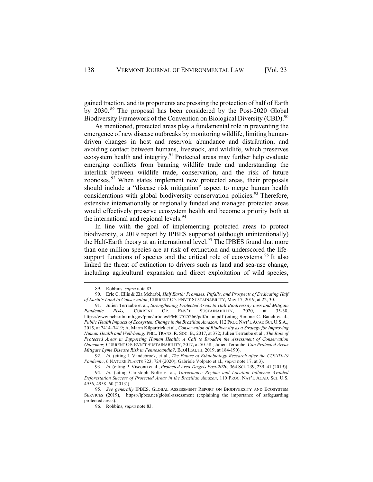gained traction, and its proponents are pressing the protection of half of Earth by 2030. <sup>89</sup> The proposal has been considered by the Post-2020 Global Biodiversity Framework of the Convention on Biological Diversity (CBD).<sup>90</sup>

As mentioned, protected areas play a fundamental role in preventing the emergence of new disease outbreaks by monitoring wildlife, limiting humandriven changes in host and reservoir abundance and distribution, and avoiding contact between humans, livestock, and wildlife, which preserves ecosystem health and integrity.<sup>91</sup> Protected areas may further help evaluate emerging conflicts from banning wildlife trade and understanding the interlink between wildlife trade, conservation, and the risk of future zoonoses. <sup>92</sup> When states implement new protected areas, their proposals should include a "disease risk mitigation" aspect to merge human health considerations with global biodiversity conservation policies.<sup>93</sup> Therefore, extensive internationally or regionally funded and managed protected areas would effectively preserve ecosystem health and become a priority both at the international and regional levels.<sup>94</sup>

In line with the goal of implementing protected areas to protect biodiversity, a 2019 report by IPBES supported (although unintentionally) the Half-Earth theory at an international level.<sup>95</sup> The IPBES found that more than one million species are at risk of extinction and underscored the lifesupport functions of species and the critical role of ecosystems.<sup>96</sup> It also linked the threat of extinction to drivers such as land and sea-use change, including agricultural expansion and direct exploitation of wild species,

<sup>89.</sup> Robbins, *supra* note 83.

<sup>90.</sup> Erle C. Ellis & Zia Mehrabi, *Half Earth: Promises, Pitfalls, and Prospects of Dedicating Half of Earth's Land to Conservation*, CURRENT OP. ENV'T SUSTAINABILITY, May 17, 2019, at 22, 30.

<sup>91.</sup> Julien Terraube et al., *Strengthening Protected Areas to Halt Biodiversity Loss and Mitigate Pandemic Risks,* CURRENT OP. ENV'T SUSTAINABILITY, 2020, at 35-38, https://www.ncbi.nlm.nih.gov/pmc/articles/PMC7525266/pdf/main.pdf (citing Simone C. Bauch et al., *Public Health Impacts of Ecosystem Change in the Brazilian Amazon,* 112 PROC NAT'L ACAD SCI. U.S.A., 2015, at 7414–7419; A. Marm Kilpartrick et al., *Conservation of Biodiversity as a Strategy for Improving Human Health and Well-being,* PHIL. TRANS. R. SOC. B., 2017, at 372; Julien Terraube et al., *The Role of Protected Areas in Supporting Human Health: A Call to Broaden the Assessment of Conservation Outcomes,* CURRENT OP. EVN'T SUSTAINABILITY, 2017, at 50-58 ; Julien Terraube, *Can Protected Areas Mitigate Lyme Disease Risk in Fennoscandia?,* ECOHEALTH, 2019, at 184-190).

<sup>92.</sup> *Id.* (citing I. Vandebroek, et al., *The Future of Ethnobiology Research after the COVID-19 Pandemic*, 6 NATURE PLANTS 723, 724 (2020); Gabriele Volpato et al., *supra* note 17, at 3).

<sup>93.</sup> *Id*. (citing P. Visconti et al., *Protected Area Targets Post-2020,* 364 SCI. 239, 239–41 (2019)).

<sup>94.</sup> *Id.* (citing Christoph Nolte et al., *Governance Regime and Location Influence Avoided Deforestation Success of Protected Areas in the Brazilian Amazon*, 110 PROC. NAT'L ACAD. SCI. U.S. 4956, 4958–60 (2013)).

<sup>95.</sup> *See generally* IPBES, GLOBAL ASSESSMENT REPORT ON BIODIVERSITY AND ECOSYSTEM SERVICES (2019), https://ipbes.net/global-assessment (explaining the importance of safeguarding protected areas).

<sup>96.</sup> Robbins, *supra* note 83.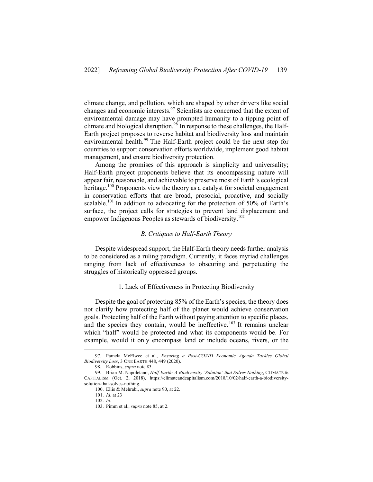climate change, and pollution, which are shaped by other drivers like social changes and economic interests.<sup>97</sup> Scientists are concerned that the extent of environmental damage may have prompted humanity to a tipping point of climate and biological disruption.<sup>98</sup> In response to these challenges, the Half-Earth project proposes to reverse habitat and biodiversity loss and maintain environmental health.<sup>99</sup> The Half-Earth project could be the next step for countries to support conservation efforts worldwide, implement good habitat management, and ensure biodiversity protection.

Among the promises of this approach is simplicity and universality; Half-Earth project proponents believe that its encompassing nature will appear fair, reasonable, and achievable to preserve most of Earth's ecological heritage.<sup>100</sup> Proponents view the theory as a catalyst for societal engagement in conservation efforts that are broad, prosocial, proactive, and socially scalable.<sup>101</sup> In addition to advocating for the protection of 50% of Earth's surface, the project calls for strategies to prevent land displacement and empower Indigenous Peoples as stewards of biodiversity.<sup>102</sup>

#### *B. Critiques to Half-Earth Theory*

Despite widespread support, the Half-Earth theory needs further analysis to be considered as a ruling paradigm. Currently, it faces myriad challenges ranging from lack of effectiveness to obscuring and perpetuating the struggles of historically oppressed groups.

#### 1. Lack of Effectiveness in Protecting Biodiversity

Despite the goal of protecting 85% of the Earth's species, the theory does not clarify how protecting half of the planet would achieve conservation goals. Protecting half of the Earth without paying attention to specific places, and the species they contain, would be ineffective.<sup>103</sup> It remains unclear which "half" would be protected and what its components would be. For example, would it only encompass land or include oceans, rivers, or the

<sup>97.</sup> Pamela McElwee et al., *Ensuring a Post-COVID Economic Agenda Tackles Global Biodiversity Loss*, 3 ONE EARTH 448, 449 (2020).

<sup>98.</sup> Robbins, *supra* note 83.

<sup>99.</sup> Brian M. Napoletano, *Half-Earth: A Biodiversity 'Solution' that Solves Nothing*, CLIMATE & CAPITALISM (Oct. 2, 2018), https://climateandcapitalism.com/2018/10/02/half-earth-a-biodiversitysolution-that-solves-nothing.

<sup>100.</sup> Ellis & Mehrabi, *supra* note 90, at 22.

<sup>101.</sup> *Id*. at 23

<sup>102.</sup> *Id*.

<sup>103.</sup> Pimm et al., *supra* note 85, at 2.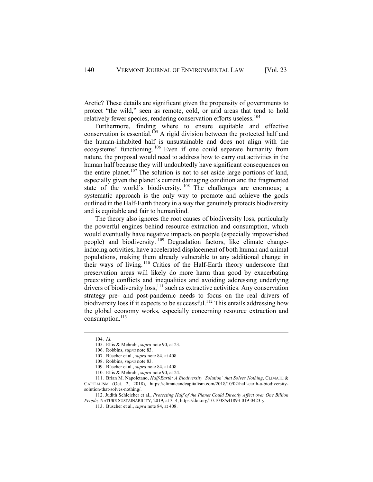Arctic? These details are significant given the propensity of governments to protect "the wild," seen as remote, cold, or arid areas that tend to hold relatively fewer species, rendering conservation efforts useless.<sup>104</sup>

Furthermore, finding where to ensure equitable and effective conservation is essential.<sup>105</sup> A rigid division between the protected half and the human-inhabited half is unsustainable and does not align with the ecosystems' functioning. <sup>106</sup> Even if one could separate humanity from nature, the proposal would need to address how to carry out activities in the human half because they will undoubtedly have significant consequences on the entire planet.<sup>107</sup> The solution is not to set aside large portions of land, especially given the planet's current damaging condition and the fragmented state of the world's biodiversity.<sup>108</sup> The challenges are enormous; a systematic approach is the only way to promote and achieve the goals outlined in the Half-Earth theory in a way that genuinely protects biodiversity and is equitable and fair to humankind.

The theory also ignores the root causes of biodiversity loss, particularly the powerful engines behind resource extraction and consumption, which would eventually have negative impacts on people (especially impoverished people) and biodiversity. <sup>109</sup> Degradation factors, like climate changeinducing activities, have accelerated displacement of both human and animal populations, making them already vulnerable to any additional change in their ways of living. <sup>110</sup> Critics of the Half-Earth theory underscore that preservation areas will likely do more harm than good by exacerbating preexisting conflicts and inequalities and avoiding addressing underlying drivers of biodiversity loss,  $\frac{1}{11}$  such as extractive activities. Any conservation strategy pre- and post-pandemic needs to focus on the real drivers of biodiversity loss if it expects to be successful.<sup>112</sup> This entails addressing how the global economy works, especially concerning resource extraction and consumption.<sup>113</sup>

<sup>104.</sup> *Id*.

<sup>105.</sup> Ellis & Mehrabi, *supra* note 90, at 23.

<sup>106.</sup> Robbins, *supra* note 83.

<sup>107.</sup> Büscher et al., *supra* note 84, at 408.

<sup>108.</sup> Robbins, *supra* note 83.

<sup>109.</sup> Büscher et al., *supra* note 84, at 408.

<sup>110.</sup> Ellis & Mehrabi, *supra* note 90, at 24.

<sup>111.</sup> Brian M. Napoletano, *Half-Earth: A Biodiversity 'Solution' that Solves Nothing*, CLIMATE & CAPITALISM (Oct. 2, 2018), https://climateandcapitalism.com/2018/10/02/half-earth-a-biodiversitysolution-that-solves-nothing/.

<sup>112.</sup> Judith Schleicher et al., *Protecting Half of the Planet Could Directly Affect over One Billion People,* NATURE SUSTAINABILITY, 2019, at 3–4, https://doi.org/10.1038/s41893-019-0423-y.

<sup>113.</sup> Büscher et al., *supra* note 84, at 408.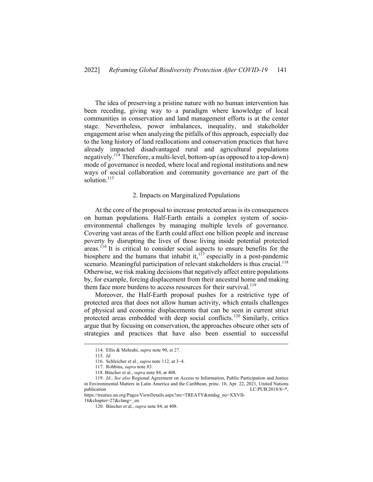The idea of preserving a pristine nature with no human intervention has been receding, giving way to a paradigm where knowledge of local communities in conservation and land management efforts is at the center stage. Nevertheless, power imbalances, inequality, and stakeholder engagement arise when analyzing the pitfalls of this approach, especially due to the long history of land reallocations and conservation practices that have already impacted disadvantaged rural and agricultural populations negatively.114 Therefore, a multi-level, bottom-up (as opposed to a top-down) mode of governance is needed, where local and regional institutions and new ways of social collaboration and community governance are part of the solution $115$ 

#### 2. Impacts on Marginalized Populations

At the core of the proposal to increase protected areas is its consequences on human populations. Half-Earth entails a complex system of socioenvironmental challenges by managing multiple levels of governance. Covering vast areas of the Earth could affect one billion people and increase poverty by disrupting the lives of those living inside potential protected areas.<sup>116</sup> It is critical to consider social aspects to ensure benefits for the biosphere and the humans that inhabit it, $1^{17}$  especially in a post-pandemic scenario. Meaningful participation of relevant stakeholders is thus crucial.<sup>118</sup> Otherwise, we risk making decisions that negatively affect entire populations by, for example, forcing displacement from their ancestral home and making them face more burdens to access resources for their survival.<sup>119</sup>

Moreover, the Half-Earth proposal pushes for a restrictive type of protected area that does not allow human activity, which entails challenges of physical and economic displacements that can be seen in current strict protected areas embedded with deep social conflicts.<sup>120</sup> Similarly, critics argue that by focusing on conservation, the approaches obscure other sets of strategies and practices that have also been essential to successful

<sup>114.</sup> Ellis & Mehrabi, *supra* note 90, at 27.

<sup>115.</sup> *Id*.

<sup>116.</sup> Schleicher et al., *supra* note 112, at 3–4.

<sup>117.</sup> Robbins, *supra* note 83.

<sup>118.</sup> Büscher et al., *supra* note 84, at 408.

<sup>119.</sup> *Id*.; *See also* Regional Agreement on Access to Information, Public Participation and Justice in Environmental Matters in Latin America and the Caribbean, princ. 10, Apr. 22, 2021, United Nations<br>
LC/PUB.2018/8/-\*, LC/PUB.2018/8/-\*,

https://treaties.un.org/Pages/ViewDetails.aspx?src=TREATY&mtdsg\_no=XXVII-18&chapter=27&clang=\_en.

<sup>120.</sup> Büscher et al., *supra* note 84, at 408.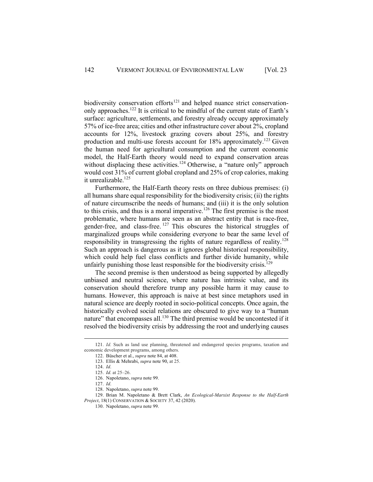biodiversity conservation efforts<sup>121</sup> and helped nuance strict conservationonly approaches.122 It is critical to be mindful of the current state of Earth's surface: agriculture, settlements, and forestry already occupy approximately 57% of ice-free area; cities and other infrastructure cover about 2%, cropland accounts for 12%, livestock grazing covers about 25%, and forestry production and multi-use forests account for  $18\%$  approximately.<sup>123</sup> Given the human need for agricultural consumption and the current economic model, the Half-Earth theory would need to expand conservation areas without displacing these activities.<sup>124</sup> Otherwise, a "nature only" approach would cost 31% of current global cropland and 25% of crop calories, making it unrealizable.<sup>125</sup>

Furthermore, the Half-Earth theory rests on three dubious premises: (i) all humans share equal responsibility for the biodiversity crisis; (ii) the rights of nature circumscribe the needs of humans; and (iii) it is the only solution to this crisis, and thus is a moral imperative.<sup>126</sup> The first premise is the most problematic, where humans are seen as an abstract entity that is race-free, gender-free, and class-free.  $127$  This obscures the historical struggles of marginalized groups while considering everyone to bear the same level of responsibility in transgressing the rights of nature regardless of reality.<sup>128</sup> Such an approach is dangerous as it ignores global historical responsibility, which could help fuel class conflicts and further divide humanity, while unfairly punishing those least responsible for the biodiversity crisis.<sup>129</sup>

The second premise is then understood as being supported by allegedly unbiased and neutral science, where nature has intrinsic value, and its conservation should therefore trump any possible harm it may cause to humans. However, this approach is naive at best since metaphors used in natural science are deeply rooted in socio-political concepts. Once again, the historically evolved social relations are obscured to give way to a "human nature" that encompasses all.<sup>130</sup> The third premise would be uncontested if it resolved the biodiversity crisis by addressing the root and underlying causes

<sup>121.</sup> *Id.* Such as land use planning, threatened and endangered species programs, taxation and economic development programs, among others.

<sup>122.</sup> Büscher et al., *supra* note 84, at 408.

<sup>123.</sup> Ellis & Mehrabi, *supra* note 90, at 25.

<sup>124.</sup> *Id*.

<sup>125.</sup> *Id*. at 25–26.

<sup>126.</sup> Napoletano, *supra* note 99.

<sup>127.</sup> *Id*.

<sup>128.</sup> Napoletano, *supra* note 99.

<sup>129.</sup> Brian M. Napoletano & Brett Clark, *An Ecological-Marxist Response to the Half-Earth Project*, 18(1) CONSERVATION & SOCIETY 37, 42 (2020).

<sup>130.</sup> Napoletano, *supra* note 99.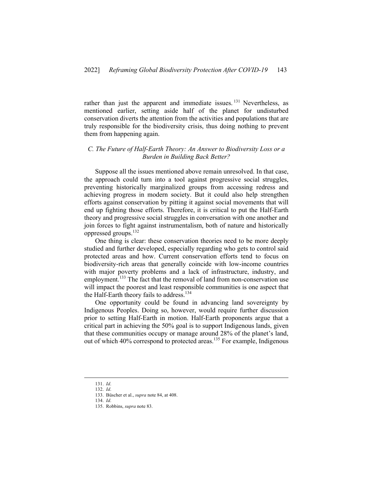rather than just the apparent and immediate issues.<sup>131</sup> Nevertheless, as mentioned earlier, setting aside half of the planet for undisturbed conservation diverts the attention from the activities and populations that are truly responsible for the biodiversity crisis, thus doing nothing to prevent them from happening again.

#### *C. The Future of Half-Earth Theory: An Answer to Biodiversity Loss or a Burden in Building Back Better?*

Suppose all the issues mentioned above remain unresolved. In that case, the approach could turn into a tool against progressive social struggles, preventing historically marginalized groups from accessing redress and achieving progress in modern society. But it could also help strengthen efforts against conservation by pitting it against social movements that will end up fighting those efforts. Therefore, it is critical to put the Half-Earth theory and progressive social struggles in conversation with one another and join forces to fight against instrumentalism, both of nature and historically oppressed groups.132

One thing is clear: these conservation theories need to be more deeply studied and further developed, especially regarding who gets to control said protected areas and how. Current conservation efforts tend to focus on biodiversity-rich areas that generally coincide with low-income countries with major poverty problems and a lack of infrastructure, industry, and employment.<sup>133</sup> The fact that the removal of land from non-conservation use will impact the poorest and least responsible communities is one aspect that the Half-Earth theory fails to address.<sup>134</sup>

One opportunity could be found in advancing land sovereignty by Indigenous Peoples. Doing so, however, would require further discussion prior to setting Half-Earth in motion. Half-Earth proponents argue that a critical part in achieving the 50% goal is to support Indigenous lands, given that these communities occupy or manage around 28% of the planet's land, out of which 40% correspond to protected areas.<sup>135</sup> For example, Indigenous

<sup>131.</sup> *Id*.

<sup>132.</sup> *Id*.

<sup>133.</sup> Büscher et al., *supra* note 84, at 408.

<sup>134.</sup> *Id*.

<sup>135.</sup> Robbins, *supra* note 83.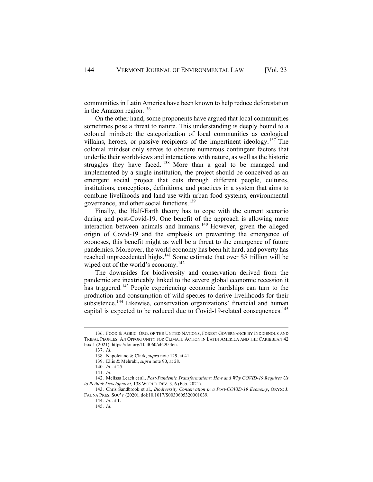communities in Latin America have been known to help reduce deforestation in the Amazon region. $136$ 

On the other hand, some proponents have argued that local communities sometimes pose a threat to nature. This understanding is deeply bound to a colonial mindset: the categorization of local communities as ecological villains, heroes, or passive recipients of the impertinent ideology.<sup>137</sup> The colonial mindset only serves to obscure numerous contingent factors that underlie their worldviews and interactions with nature, as well as the historic struggles they have faced. <sup>138</sup> More than a goal to be managed and implemented by a single institution, the project should be conceived as an emergent social project that cuts through different people, cultures, institutions, conceptions, definitions, and practices in a system that aims to combine livelihoods and land use with urban food systems, environmental governance, and other social functions.<sup>139</sup>

Finally, the Half-Earth theory has to cope with the current scenario during and post-Covid-19. One benefit of the approach is allowing more interaction between animals and humans. <sup>140</sup> However, given the alleged origin of Covid-19 and the emphasis on preventing the emergence of zoonoses, this benefit might as well be a threat to the emergence of future pandemics. Moreover, the world economy has been hit hard, and poverty has reached unprecedented highs.<sup>141</sup> Some estimate that over \$5 trillion will be wiped out of the world's economy.<sup>142</sup>

The downsides for biodiversity and conservation derived from the pandemic are inextricably linked to the severe global economic recession it has triggered.<sup>143</sup> People experiencing economic hardships can turn to the production and consumption of wild species to derive livelihoods for their subsistence.<sup>144</sup> Likewise, conservation organizations' financial and human capital is expected to be reduced due to Covid-19-related consequences.<sup>145</sup>

<sup>136.</sup> FOOD & AGRIC. ORG. OF THE UNITED NATIONS, FOREST GOVERNANCE BY INDIGENOUS AND TRIBAL PEOPLES: AN OPPORTUNITY FOR CLIMATE ACTION IN LATIN AMERICA AND THE CARIBBEAN 42 box 1 (2021), https://doi.org/10.4060/cb2953en.

<sup>137.</sup> *Id*.

<sup>138.</sup> Napoletano & Clark, *supra* note 129, at 41.

<sup>139.</sup> Ellis & Mehrabi, *supra* note 90, at 28.

<sup>140.</sup> *Id*. at 25.

<sup>141.</sup> *Id.*

<sup>142.</sup> Melissa Leach et al., *Post-Pandemic Transformations: How and Why COVID-19 Requires Us to Rethink Development*, 138 WORLD DEV. 3, 6 (Feb. 2021).

<sup>143.</sup> Chris Sandbrook et al., *Biodiversity Conservation in a Post-COVID-19 Economy*, ORYX: J. FAUNA PRES. SOC'Y (2020), doi:10.1017/S0030605320001039.

<sup>144.</sup> *Id*. at 1.

<sup>145.</sup> *Id*.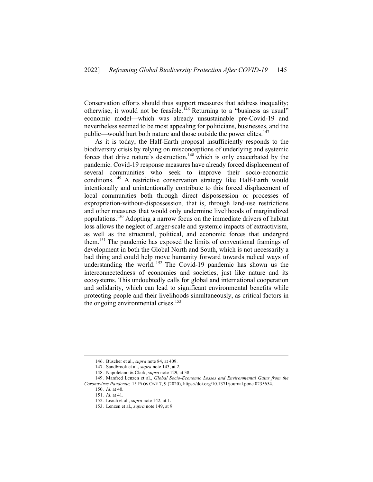Conservation efforts should thus support measures that address inequality; otherwise, it would not be feasible.<sup>146</sup> Returning to a "business as usual" economic model—which was already unsustainable pre-Covid-19 and nevertheless seemed to be most appealing for politicians, businesses, and the public—would hurt both nature and those outside the power elites.<sup>147</sup>

As it is today, the Half-Earth proposal insufficiently responds to the biodiversity crisis by relying on misconceptions of underlying and systemic forces that drive nature's destruction,<sup>148</sup> which is only exacerbated by the pandemic. Covid-19 response measures have already forced displacement of several communities who seek to improve their socio-economic conditions. <sup>149</sup> A restrictive conservation strategy like Half-Earth would intentionally and unintentionally contribute to this forced displacement of local communities both through direct dispossession or processes of expropriation-without-dispossession, that is, through land-use restrictions and other measures that would only undermine livelihoods of marginalized populations.150 Adopting a narrow focus on the immediate drivers of habitat loss allows the neglect of larger-scale and systemic impacts of extractivism, as well as the structural, political, and economic forces that undergird them.151 The pandemic has exposed the limits of conventional framings of development in both the Global North and South, which is not necessarily a bad thing and could help move humanity forward towards radical ways of understanding the world. <sup>152</sup> The Covid-19 pandemic has shown us the interconnectedness of economies and societies, just like nature and its ecosystems. This undoubtedly calls for global and international cooperation and solidarity, which can lead to significant environmental benefits while protecting people and their livelihoods simultaneously, as critical factors in the ongoing environmental crises. $153$ 

<sup>146.</sup> Büscher et al., *supra* note 84, at 409.

<sup>147.</sup> Sandbrook et al., *supra* note 143, at 2.

<sup>148.</sup> Napoletano & Clark, *supra* note 129, at 38.

<sup>149.</sup> Manfred Lenzen et al., *Global Socio-Economic Losses and Environmental Gains from the Coronavirus Pandemic,* 15 PLOS ONE 7, 9 (2020), https://doi.org/10.1371/journal.pone.0235654.

<sup>150.</sup> *Id*. at 40.

<sup>151.</sup> *Id*. at 41.

<sup>152.</sup> Leach et al., *supra* note 142, at 1.

<sup>153.</sup> Lenzen et al., *supra* note 149, at 9.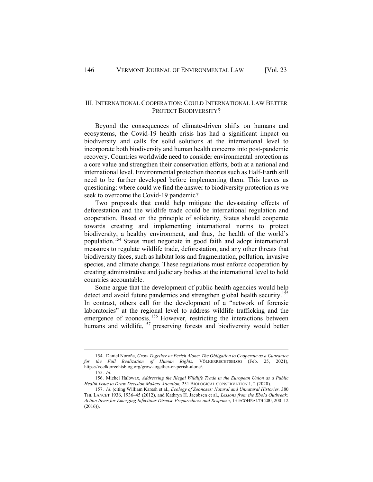#### III. INTERNATIONAL COOPERATION: COULD INTERNATIONAL LAW BETTER PROTECT BIODIVERSITY?

Beyond the consequences of climate-driven shifts on humans and ecosystems, the Covid-19 health crisis has had a significant impact on biodiversity and calls for solid solutions at the international level to incorporate both biodiversity and human health concerns into post-pandemic recovery. Countries worldwide need to consider environmental protection as a core value and strengthen their conservation efforts, both at a national and international level. Environmental protection theories such as Half-Earth still need to be further developed before implementing them. This leaves us questioning: where could we find the answer to biodiversity protection as we seek to overcome the Covid-19 pandemic?

Two proposals that could help mitigate the devastating effects of deforestation and the wildlife trade could be international regulation and cooperation. Based on the principle of solidarity, States should cooperate towards creating and implementing international norms to protect biodiversity, a healthy environment, and thus, the health of the world's population.<sup>154</sup> States must negotiate in good faith and adopt international measures to regulate wildlife trade, deforestation, and any other threats that biodiversity faces, such as habitat loss and fragmentation, pollution, invasive species, and climate change. These regulations must enforce cooperation by creating administrative and judiciary bodies at the international level to hold countries accountable.

Some argue that the development of public health agencies would help detect and avoid future pandemics and strengthen global health security.<sup>11</sup> In contrast, others call for the development of a "network of forensic laboratories" at the regional level to address wildlife trafficking and the emergence of zoonosis.<sup>156</sup> However, restricting the interactions between humans and wildlife, <sup>157</sup> preserving forests and biodiversity would better

<sup>154.</sup> Daniel Noroña, *Grow Together or Perish Alone: The Obligation to Cooperate as a Guarantee for the Full Realization of Human Rights,* VÖLKERRECHTSBLOG (Feb. 25, 2021), https://voelkerrechtsblog.org/grow-together-or-perish-alone/.

<sup>155.</sup> *Id.* 

<sup>156.</sup> Michel Halbwax, *Addressing the Illegal Wildlife Trade in the European Union as a Public Health Issue to Draw Decision Makers Attention,* 251 BIOLOGICAL CONSERVATION 1, 2 (2020).

<sup>157.</sup> *Id*. (citing William Karesh et al., *Ecology of Zoonoses: Natural and Unnatural Histories,* 380 THE LANCET 1936, 1936–45 (2012), and Kathryn H. Jacobsen et al., *Lessons from the Ebola Outbreak: Action Items for Emerging Infectious Disease Preparedness and Response*, 13 ECOHEALTH 200, 200–12 (2016)).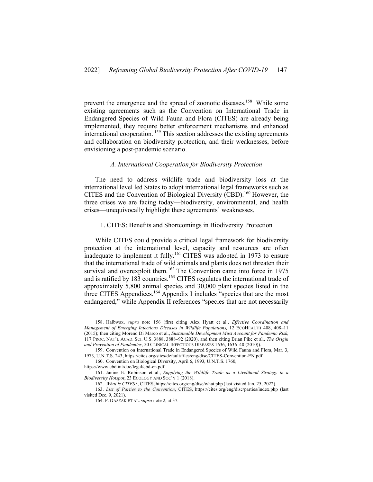prevent the emergence and the spread of zoonotic diseases.<sup>158</sup> While some existing agreements such as the Convention on International Trade in Endangered Species of Wild Fauna and Flora (CITES) are already being implemented, they require better enforcement mechanisms and enhanced international cooperation.<sup>159</sup> This section addresses the existing agreements and collaboration on biodiversity protection, and their weaknesses, before envisioning a post-pandemic scenario.

#### *A. International Cooperation for Biodiversity Protection*

The need to address wildlife trade and biodiversity loss at the international level led States to adopt international legal frameworks such as CITES and the Convention of Biological Diversity (CBD).<sup>160</sup> However, the three crises we are facing today—biodiversity, environmental, and health crises—unequivocally highlight these agreements' weaknesses.

#### 1. CITES: Benefits and Shortcomings in Biodiversity Protection

While CITES could provide a critical legal framework for biodiversity protection at the international level, capacity and resources are often inadequate to implement it fully.<sup>161</sup> CITES was adopted in 1973 to ensure that the international trade of wild animals and plants does not threaten their survival and overexploit them.<sup>162</sup> The Convention came into force in 1975 and is ratified by  $183$  countries.<sup>163</sup> CITES regulates the international trade of approximately 5,800 animal species and 30,000 plant species listed in the three CITES Appendices.<sup>164</sup> Appendix I includes "species that are the most endangered," while Appendix II references "species that are not necessarily

<sup>158.</sup> Halbwax, *supra* note 156 (first citing Alex Hyatt et al., *Effective Coordination and Management of Emerging Infectious Diseases in Wildlife Populations,* 12 ECOHEALTH 408, 408-11 (2015); then citing Moreno Di Marco et al., *Sustainable Development Must Account for Pandemic Risk,* 117 PROC. NAT'L ACAD. SCI. U.S. 3888, 3888–92 (2020), and then citing Brian Pike et al., *The Origin and Prevention of Pandemics*, 50 CLINICAL INFECTIOUS DISEASES 1636, 1636–40 (2010)).

<sup>159.</sup> Convention on International Trade in Endangered Species of Wild Fauna and Flora, Mar. 3, 1973, U.N.T.S. 243, https://cites.org/sites/default/files/eng/disc/CITES-Convention-EN.pdf.

<sup>160.</sup> Convention on Biological Diversity, April 6, 1993, U.N.T.S. 1760,

https://www.cbd.int/doc/legal/cbd-en.pdf.

<sup>161.</sup> Janine E. Robinson et al., *Supplying the Wildlife Trade as a Livelihood Strategy in a Biodiversity Hotspot*, 23 ECOLOGY AND SOC'Y 1 (2018).

<sup>162.</sup> *What is CITES?*, CITES, https://cites.org/eng/disc/what.php (last visited Jan. 25, 2022).

<sup>163.</sup> *List of Parties to the Convention*, CITES, https://cites.org/eng/disc/parties/index.php (last visited Dec. 9, 2021).

<sup>164.</sup> P. DASZAK ET AL. *supra* note 2, at 37.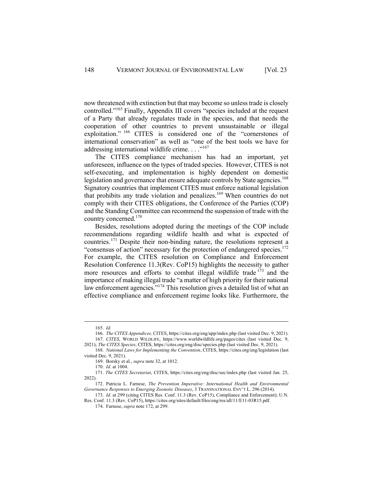now threatened with extinction but that may become so unless trade is closely controlled."<sup>165</sup> Finally, Appendix III covers "species included at the request of a Party that already regulates trade in the species, and that needs the cooperation of other countries to prevent unsustainable or illegal exploitation." <sup>166</sup> CITES is considered one of the "cornerstones of international conservation" as well as "one of the best tools we have for addressing international wildlife crime.  $\ldots$ <sup>167</sup>

The CITES compliance mechanism has had an important, yet unforeseen, influence on the types of traded species. However, CITES is not self-executing, and implementation is highly dependent on domestic legislation and governance that ensure adequate controls by State agencies.<sup>168</sup> Signatory countries that implement CITES must enforce national legislation that prohibits any trade violation and penalizes. <sup>169</sup> When countries do not comply with their CITES obligations, the Conference of the Parties (COP) and the Standing Committee can recommend the suspension of trade with the country concerned. 170

Besides, resolutions adopted during the meetings of the COP include recommendations regarding wildlife health and what is expected of countries. <sup>171</sup> Despite their non-binding nature, the resolutions represent a "consensus of action" necessary for the protection of endangered species. $172$ For example, the CITES resolution on Compliance and Enforcement Resolution Conference 11.3(Rev. CoP15) highlights the necessity to gather more resources and efforts to combat illegal wildlife trade <sup>173</sup> and the importance of making illegal trade "a matter of high priority for their national law enforcement agencies."<sup>174</sup> This resolution gives a detailed list of what an effective compliance and enforcement regime looks like. Furthermore, the

<sup>165.</sup> *Id.*

<sup>166.</sup> *The CITES Appendices,* CITES, https://cites.org/eng/app/index.php (last visited Dec. 9, 2021). 167. *CITES*, WORLD WILDLIFE, https://www.worldwildlife.org/pages/cites (last visited Dec. 9,

<sup>2021);</sup> *The CITES Species*, CITES, https://cites.org/eng/disc/species.php (last visited Dec. 9, 2021). 168. *National Laws for Implementing the Convention*, CITES, https://cites.org/eng/legislation (last

visited Dec. 9, 2021).

<sup>169.</sup> Borsky et al., *supra* note 32, at 1012.

<sup>170.</sup> *Id*. at 1004.

<sup>171.</sup> *The CITES Secretariat*, CITES, https://cites.org/eng/disc/sec/index.php (last visited Jan. 25, 2022).

<sup>172.</sup> Patricia L. Farnese, *The Prevention Imperative: International Health and Environmental Governance Responses to Emerging Zoonotic Diseases*, 3 TRANSNATIONAL ENV'T L. 296 (2014).

<sup>173.</sup> *Id*. at 299 (citing CITES Res. Conf. 11.3 (Rev. CoP15), Compliance and Enforcement); U.N. Res. Conf. 11.3 (Rev. CoP15), https://cites.org/sites/default/files/eng/res/all/11/E11-03R15.pdf.

<sup>174.</sup> Farnese, *supra* note 172, at 299.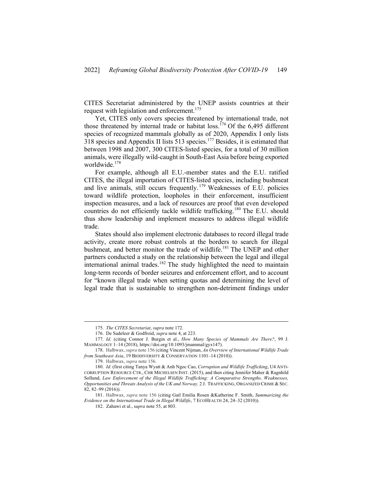CITES Secretariat administered by the UNEP assists countries at their request with legislation and enforcement.<sup>175</sup>

Yet, CITES only covers species threatened by international trade, not those threatened by internal trade or habitat loss.<sup>176</sup> Of the 6,495 different species of recognized mammals globally as of 2020, Appendix I only lists 318 species and Appendix II lists 513 species.<sup>177</sup> Besides, it is estimated that between 1998 and 2007, 300 CITES-listed species, for a total of 30 million animals, were illegally wild-caught in South-East Asia before being exported worldwide.178

For example, although all E.U.-member states and the E.U. ratified CITES, the illegal importation of CITES-listed species, including bushmeat and live animals, still occurs frequently. <sup>179</sup> Weaknesses of E.U. policies toward wildlife protection, loopholes in their enforcement, insufficient inspection measures, and a lack of resources are proof that even developed countries do not efficiently tackle wildlife trafficking.<sup>180</sup> The E.U. should thus show leadership and implement measures to address illegal wildlife trade.

States should also implement electronic databases to record illegal trade activity, create more robust controls at the borders to search for illegal bushmeat, and better monitor the trade of wildlife.<sup>181</sup> The UNEP and other partners conducted a study on the relationship between the legal and illegal international animal trades. <sup>182</sup> The study highlighted the need to maintain long-term records of border seizures and enforcement effort, and to account for "known illegal trade when setting quotas and determining the level of legal trade that is sustainable to strengthen non-detriment findings under

<sup>175.</sup> *The CITES Secretariat*, *supra* note 172.

<sup>176.</sup> De Sadeleer & Godfroid, *supra* note 4, at 223.

<sup>177.</sup> *Id*. (citing Connor J. Burgin et al., *How Many Species of Mammals Are There?*, 99 J. MAMMALOGY 1–14 (2018), https://doi.org/10.1093/jmammal/gyx147).

<sup>178.</sup> Halbwax, *supra* note 156 (citing Vincent Nijman, *An Overview of International Wildlife Trade from Southeast Asia*, 19 BIODIVERSITY & CONSERVATION 1101–14 (2010)).

<sup>179.</sup> Halbwax, *supra* note 156.

<sup>180.</sup> *Id*. (first citing Tanya Wyatt & Anh Ngoc Cao, *Corruption and Wildlife Trafficking*, U4 ANTI-CORRUPTION RESOURCE CTR., CHR MICHELSEN INST. (2015), and then citing Jennifer Maher & Ragnhild Sollund, *Law Enforcement of the Illegal Wildlife Trafficking: A Comparative Strengths, Weaknesses, Opportunities and Threats Analysis of the UK and Norway,* 2 J. TRAFFICKING, ORGANIZED CRIME & SEC. 82, 82–99 (2016)).

<sup>181.</sup> Halbwax, *supra* note 156 (citing Gail Emilia Rosen &Katherine F. Smith, *Summarizing the Evidence on the International Trade in Illegal Wildlife*, 7 ECOHEALTH 24, 24–32 (2010)).

<sup>182.</sup> Zahawi et al., s*upra* note 55, at 803.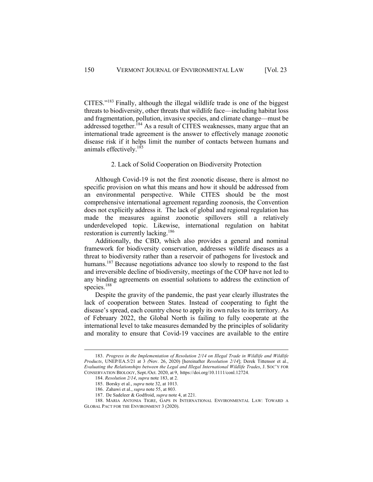CITES."183 Finally, although the illegal wildlife trade is one of the biggest threats to biodiversity, other threats that wildlife face—including habitat loss and fragmentation, pollution, invasive species, and climate change—must be addressed together.<sup>184</sup> As a result of CITES weaknesses, many argue that an international trade agreement is the answer to effectively manage zoonotic disease risk if it helps limit the number of contacts between humans and animals effectively. $185$ 

#### 2. Lack of Solid Cooperation on Biodiversity Protection

Although Covid-19 is not the first zoonotic disease, there is almost no specific provision on what this means and how it should be addressed from an environmental perspective. While CITES should be the most comprehensive international agreement regarding zoonosis, the Convention does not explicitly address it. The lack of global and regional regulation has made the measures against zoonotic spillovers still a relatively underdeveloped topic. Likewise, international regulation on habitat restoration is currently lacking.<sup>186</sup>

Additionally, the CBD, which also provides a general and nominal framework for biodiversity conservation, addresses wildlife diseases as a threat to biodiversity rather than a reservoir of pathogens for livestock and humans.<sup>187</sup> Because negotiations advance too slowly to respond to the fast and irreversible decline of biodiversity, meetings of the COP have not led to any binding agreements on essential solutions to address the extinction of species.<sup>188</sup>

Despite the gravity of the pandemic, the past year clearly illustrates the lack of cooperation between States. Instead of cooperating to fight the disease's spread, each country chose to apply its own rules to its territory. As of February 2022, the Global North is failing to fully cooperate at the international level to take measures demanded by the principles of solidarity and morality to ensure that Covid-19 vaccines are available to the entire

<sup>183.</sup> *Progress in the Implementation of Resolution 2/14 on Illegal Trade in Wildlife and Wildlife Products*, UNEP/EA.5/21 at 3 *(*Nov. 26, 2020) [hereinafter *Resolution 2/14*]; Derek Tittensor et al., *Evaluating the Relationships between the Legal and Illegal International Wildlife Trades*, J. SOC'Y FOR CONSERVATION BIOLOGY, Sept./Oct. 2020, at 9, https://doi.org/10.1111/conl.12724.

<sup>184.</sup> *Resolution 2/14*, *supra* note 183, at 2.

<sup>185.</sup> Borsky et al., *supra* note 32, at 1013.

<sup>186.</sup> Zahawi et al., *supra* note 55, at 803.

<sup>187.</sup> De Sadeleer & Godfroid, *supra* note 4, at 221.

<sup>188.</sup> MARIA ANTONIA TIGRE, GAPS IN INTERNATIONAL ENVIRONMENTAL LAW: TOWARD A GLOBAL PACT FOR THE ENVIRONMENT 3 (2020).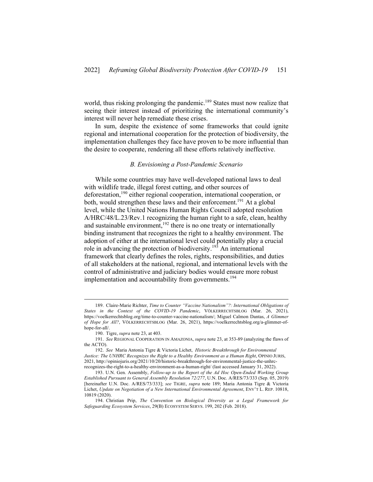world, thus risking prolonging the pandemic.<sup>189</sup> States must now realize that seeing their interest instead of prioritizing the international community's interest will never help remediate these crises.

In sum, despite the existence of some frameworks that could ignite regional and international cooperation for the protection of biodiversity, the implementation challenges they face have proven to be more influential than the desire to cooperate, rendering all these efforts relatively ineffective.

#### *B. Envisioning a Post-Pandemic Scenario*

While some countries may have well-developed national laws to deal with wildlife trade, illegal forest cutting, and other sources of deforestation,<sup>190</sup> either regional cooperation, international cooperation, or both, would strengthen these laws and their enforcement.<sup>191</sup> At a global level, while the United Nations Human Rights Council adopted resolution A/HRC/48/L.23/Rev.1 recognizing the human right to a safe, clean, healthy and sustainable environment,<sup>192</sup> there is no one treaty or internationally binding instrument that recognizes the right to a healthy environment. The adoption of either at the international level could potentially play a crucial role in advancing the protection of biodiversity.<sup>193</sup> An international framework that clearly defines the roles, rights, responsibilities, and duties of all stakeholders at the national, regional, and international levels with the control of administrative and judiciary bodies would ensure more robust implementation and accountability from governments.<sup>194</sup>

<sup>189.</sup> Claire-Marie Richter, *Time to Counter "Vaccine Nationalism"?: International Obligations of States in the Context of the COVID-19 Pandemic*, VÖLKERRECHTSBLOG (Mar. 26, 2021), https://voelkerrechtsblog.org/time-to-counter-vaccine-nationalism/; Miguel Calmon Dantas, *A Glimmer of Hope for All?*, VÖLKERRECHTSBLOG (Mar. 26, 2021), https://voelkerrechtsblog.org/a-glimmer-ofhope-for-all/.

<sup>190.</sup> Tigre, *supra* note 23, at 403.

<sup>191.</sup> *See* REGIONAL COOPERATION IN AMAZONIA, *supra* note 23, at 353-89 (analyzing the flaws of the ACTO).

<sup>192.</sup> *See* Maria Antonia Tigre & Victoria Lichet, *Historic Breakthrough for Environmental Justice: The UNHRC Recognizes the Right to a Healthy Environment as a Human Right*, OPINIO JURIS, 2021, http://opiniojuris.org/2021/10/20/historic-breakthrough-for-environmental-justice-the-unhrcrecognizes-the-right-to-a-healthy-environment-as-a-human-right/ (last accessed January 31, 2022).

<sup>193.</sup> U.N. Gen. Assembly, *Follow-up to the Report of the Ad Hoc Open-Ended Working Group Established Pursuant to General Assembly Resolution 72/277*, U.N. Doc. A/RES/73/333 (Sep. 05, 2019) [hereinafter U.N. Doc. A/RES/73/333]; *see* TIGRE, *supra* note 189; Maria Antonia Tigre & Victoria Lichet, *Update on Negotiation of a New International Environmental Agreement*, ENV'T L. REP. 10818, 10819 (2020).

<sup>194.</sup> Christian Prip, *The Convention on Biological Diversity as a Legal Framework for Safeguarding Ecosystem Services*, 29(B) ECOSYSTEM SERVS. 199, 202 (Feb. 2018).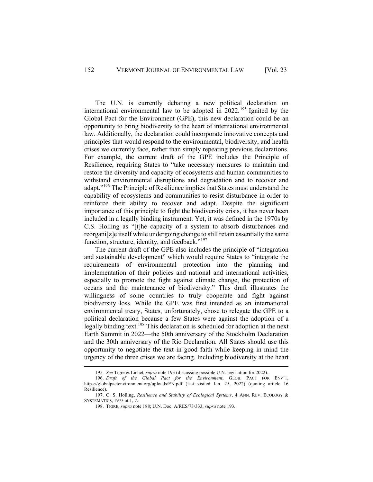The U.N. is currently debating a new political declaration on international environmental law to be adopted in  $2022$ .<sup>195</sup> Ignited by the Global Pact for the Environment (GPE), this new declaration could be an opportunity to bring biodiversity to the heart of international environmental law. Additionally, the declaration could incorporate innovative concepts and principles that would respond to the environmental, biodiversity, and health crises we currently face, rather than simply repeating previous declarations. For example, the current draft of the GPE includes the Principle of Resilience, requiring States to "take necessary measures to maintain and restore the diversity and capacity of ecosystems and human communities to withstand environmental disruptions and degradation and to recover and adapt."196 The Principle of Resilience implies that States must understand the capability of ecosystems and communities to resist disturbance in order to reinforce their ability to recover and adapt. Despite the significant importance of this principle to fight the biodiversity crisis, it has never been included in a legally binding instrument. Yet, it was defined in the 1970s by C.S. Holling as "[t]he capacity of a system to absorb disturbances and reorgani[z]e itself while undergoing change to still retain essentially the same function, structure, identity, and feedback."<sup>197</sup>

The current draft of the GPE also includes the principle of "integration and sustainable development" which would require States to "integrate the requirements of environmental protection into the planning and implementation of their policies and national and international activities, especially to promote the fight against climate change, the protection of oceans and the maintenance of biodiversity." This draft illustrates the willingness of some countries to truly cooperate and fight against biodiversity loss. While the GPE was first intended as an international environmental treaty, States, unfortunately, chose to relegate the GPE to a political declaration because a few States were against the adoption of a legally binding text.<sup>198</sup> This declaration is scheduled for adoption at the next Earth Summit in 2022—the 50th anniversary of the Stockholm Declaration and the 30th anniversary of the Rio Declaration. All States should use this opportunity to negotiate the text in good faith while keeping in mind the urgency of the three crises we are facing. Including biodiversity at the heart

<sup>195.</sup> *See* Tigre & Lichet, *supra* note 193 (discussing possible U.N. legislation for 2022).

<sup>196.</sup> *Draft of the Global Pact for the Environment*, GLOB. PACT FOR ENV'T, https://globalpactenvironment.org/uploads/EN.pdf (last visited Jan. 25, 2022) (quoting article 16 Resilience).

<sup>197.</sup> C. S. Holling, *Resilience and Stability of Ecological Systems*, 4 ANN. REV. ECOLOGY & SYSTEMATICS, 1973 at 1, 7.

<sup>198.</sup> TIGRE, *supra* note 188; U.N. Doc. A/RES/73/333, *supra* note 193.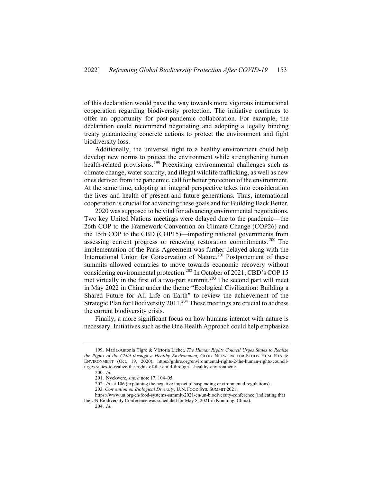of this declaration would pave the way towards more vigorous international cooperation regarding biodiversity protection. The initiative continues to offer an opportunity for post-pandemic collaboration. For example, the declaration could recommend negotiating and adopting a legally binding treaty guaranteeing concrete actions to protect the environment and fight biodiversity loss.

Additionally, the universal right to a healthy environment could help develop new norms to protect the environment while strengthening human health-related provisions.<sup>199</sup> Preexisting environmental challenges such as climate change, water scarcity, and illegal wildlife trafficking, as well as new ones derived from the pandemic, call for better protection of the environment. At the same time, adopting an integral perspective takes into consideration the lives and health of present and future generations. Thus, international cooperation is crucial for advancing these goals and for Building Back Better.

2020 was supposed to be vital for advancing environmental negotiations. Two key United Nations meetings were delayed due to the pandemic—the 26th COP to the Framework Convention on Climate Change (COP26) and the 15th COP to the CBD (COP15)—impeding national governments from assessing current progress or renewing restoration commitments. <sup>200</sup> The implementation of the Paris Agreement was further delayed along with the International Union for Conservation of Nature. <sup>201</sup> Postponement of these summits allowed countries to move towards economic recovery without considering environmental protection.<sup>202</sup> In October of 2021, CBD's COP 15 met virtually in the first of a two-part summit.<sup>203</sup> The second part will meet in May 2022 in China under the theme "Ecological Civilization: Building a Shared Future for All Life on Earth" to review the achievement of the Strategic Plan for Biodiversity 2011.<sup>204</sup> These meetings are crucial to address the current biodiversity crisis.

Finally, a more significant focus on how humans interact with nature is necessary. Initiatives such as the One Health Approach could help emphasize

<sup>199.</sup> Maria-Antonia Tigre & Victoria Lichet, *The Human Rights Council Urges States to Realize the Rights of the Child through a Healthy Environment,* GLOB. NETWORK FOR STUDY HUM. RTS. & ENVIRONMENT (Oct. 19, 2020), https://gnhre.org/environmental-rights-2/the-human-rights-councilurges-states-to-realize-the-rights-of-the-child-through-a-healthy-environment/.

<sup>200.</sup> *Id*.

<sup>201.</sup> Nyekwere, *supra* note 17, 104–05.

<sup>202.</sup> *Id.* at 106 (explaining the negative impact of suspending environmental regulations).

<sup>203</sup>*. Convention on Biological Diversity*, U.N. FOOD SYS. SUMMIT 2021,

https://www.un.org/en/food-systems-summit-2021-en/un-biodiversity-conference (indicating that the UN Biodiversity Conference was scheduled for May 8, 2021 in Kunming, China).

<sup>204.</sup> *Id*.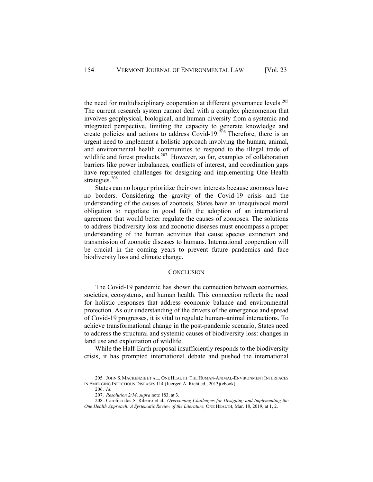the need for multidisciplinary cooperation at different governance levels.<sup>205</sup> The current research system cannot deal with a complex phenomenon that involves geophysical, biological, and human diversity from a systemic and integrated perspective, limiting the capacity to generate knowledge and create policies and actions to address Covid-19.<sup>206</sup> Therefore, there is an urgent need to implement a holistic approach involving the human, animal, and environmental health communities to respond to the illegal trade of wildlife and forest products.<sup>207</sup> However, so far, examples of collaboration barriers like power imbalances, conflicts of interest, and coordination gaps have represented challenges for designing and implementing One Health strategies.<sup>208</sup>

States can no longer prioritize their own interests because zoonoses have no borders. Considering the gravity of the Covid-19 crisis and the understanding of the causes of zoonosis, States have an unequivocal moral obligation to negotiate in good faith the adoption of an international agreement that would better regulate the causes of zoonoses. The solutions to address biodiversity loss and zoonotic diseases must encompass a proper understanding of the human activities that cause species extinction and transmission of zoonotic diseases to humans. International cooperation will be crucial in the coming years to prevent future pandemics and face biodiversity loss and climate change.

#### **CONCLUSION**

The Covid-19 pandemic has shown the connection between economies, societies, ecosystems, and human health. This connection reflects the need for holistic responses that address economic balance and environmental protection. As our understanding of the drivers of the emergence and spread of Covid-19 progresses, it is vital to regulate human–animal interactions. To achieve transformational change in the post-pandemic scenario, States need to address the structural and systemic causes of biodiversity loss: changes in land use and exploitation of wildlife.

While the Half-Earth proposal insufficiently responds to the biodiversity crisis, it has prompted international debate and pushed the international

<sup>205.</sup> JOHN S. MACKENZIE ET AL., ONE HEALTH: THE HUMAN-ANIMAL-ENVIRONMENT INTERFACES IN EMERGING INFECTIOUS DISEASES 114 (Juergen A. Richt ed., 2013)(ebook).

<sup>206.</sup> *Id*.

<sup>207.</sup> *Resolution 2/14, supra* note 183, at 3.

<sup>208.</sup> Carolina dos S. Ribeiro et al., *Overcoming Challenges for Designing and Implementing the One Health Approach: A Systematic Review of the Literature,* ONE HEALTH, Mar. 18, 2019, at 1, 2.